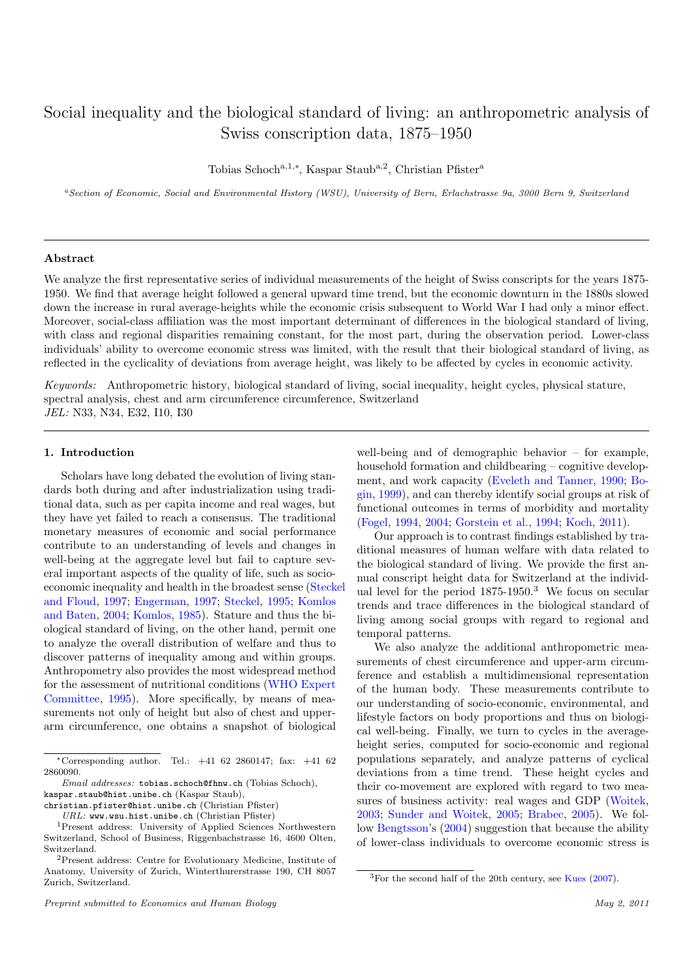# Social inequality and the biological standard of living: an anthropometric analysis of Swiss conscription data, 1875–1950

Tobias Schoch<sup>a,1,∗</sup>, Kaspar Staub<sup>a,2</sup>, Christian Pfister<sup>a</sup>

<sup>a</sup>Section of Economic, Social and Environmental History (WSU), University of Bern, Erlachstrasse 9a, 3000 Bern 9, Switzerland

## Abstract

We analyze the first representative series of individual measurements of the height of Swiss conscripts for the years 1875- 1950. We find that average height followed a general upward time trend, but the economic downturn in the 1880s slowed down the increase in rural average-heights while the economic crisis subsequent to World War I had only a minor effect. Moreover, social-class affiliation was the most important determinant of differences in the biological standard of living, with class and regional disparities remaining constant, for the most part, during the observation period. Lower-class individuals' ability to overcome economic stress was limited, with the result that their biological standard of living, as reflected in the cyclicality of deviations from average height, was likely to be affected by cycles in economic activity.

Keywords: Anthropometric history, biological standard of living, social inequality, height cycles, physical stature, spectral analysis, chest and arm circumference circumference, Switzerland JEL: N33, N34, E32, I10, I30

# 1. Introduction

Scholars have long debated the evolution of living standards both during and after industrialization using traditional data, such as per capita income and real wages, but they have yet failed to reach a consensus. The traditional monetary measures of economic and social performance contribute to an understanding of levels and changes in well-being at the aggregate level but fail to capture several important aspects of the quality of life, such as socioeconomic inequality and health in the broadest sense [\(Stecke](#page-21-0)l [and Floud,](#page-21-0) [1997;](#page-21-0) [Engerman,](#page-20-0) [1997;](#page-20-0) [Steckel,](#page-21-1) [1995;](#page-21-1) [Komlos](#page-20-1) [and Baten,](#page-20-1) [2004;](#page-20-1) [Komlos,](#page-20-2) [1985\)](#page-20-2). Stature and thus the biological standard of living, on the other hand, permit one to analyze the overall distribution of welfare and thus to discover patterns of inequality among and within groups. Anthropometry also provides the most widespread method for the assessment of nutritional conditions [\(WHO Expert](#page-21-2) [Committee,](#page-21-2) [1995\)](#page-21-2). More specifically, by means of measurements not only of height but also of chest and upperarm circumference, one obtains a snapshot of biological

well-being and of demographic behavior – for example, household formation and childbearing – cognitive development, and work capacity [\(Eveleth and Tanner,](#page-20-3) [1990;](#page-20-3) [Bo](#page-19-0)[gin,](#page-19-0) [1999\)](#page-19-0), and can thereby identify social groups at risk of functional outcomes in terms of morbidity and mortality [\(Fogel,](#page-20-4) [1994,](#page-20-4) [2004;](#page-20-5) [Gorstein et al.,](#page-20-6) [1994;](#page-20-6) [Koch,](#page-20-7) [2011\)](#page-20-7).

Our approach is to contrast findings established by traditional measures of human welfare with data related to the biological standard of living. We provide the first annual conscript height data for Switzerland at the individual level for the period  $1875-1950$ .<sup>3</sup> We focus on secular trends and trace differences in the biological standard of living among social groups with regard to regional and temporal patterns.

We also analyze the additional anthropometric measurements of chest circumference and upper-arm circumference and establish a multidimensional representation of the human body. These measurements contribute to our understanding of socio-economic, environmental, and lifestyle factors on body proportions and thus on biological well-being. Finally, we turn to cycles in the averageheight series, computed for socio-economic and regional populations separately, and analyze patterns of cyclical deviations from a time trend. These height cycles and their co-movement are explored with regard to two measures of business activity: real wages and GDP [\(Woitek,](#page-21-3) [2003;](#page-21-3) [Sunder and Woitek,](#page-21-4) [2005;](#page-21-4) [Brabec,](#page-19-1) [2005\)](#page-19-1). We follow [Bengtsson'](#page-19-2)s [\(2004\)](#page-19-2) suggestion that because the ability of lower-class individuals to overcome economic stress is

<sup>∗</sup>Corresponding author. Tel.: +41 62 2860147; fax: +41 62 2860090.

Email addresses: tobias.schoch@fhnw.ch (Tobias Schoch), kaspar.staub@hist.unibe.ch (Kaspar Staub),

christian.pfister@hist.unibe.ch (Christian Pfister)

URL: www.wsu.hist.unibe.ch (Christian Pfister)

<sup>1</sup>Present address: University of Applied Sciences Northwestern Switzerland, School of Business, Riggenbachstrasse 16, 4600 Olten, Switzerland.

<sup>2</sup>Present address: Centre for Evolutionary Medicine, Institute of Anatomy, University of Zurich, Winterthurerstrasse 190, CH 8057 Zurich, Switzerland.

<sup>&</sup>lt;sup>3</sup>For the second half of the 20th century, see [Kues](#page-20-8)  $(2007)$ .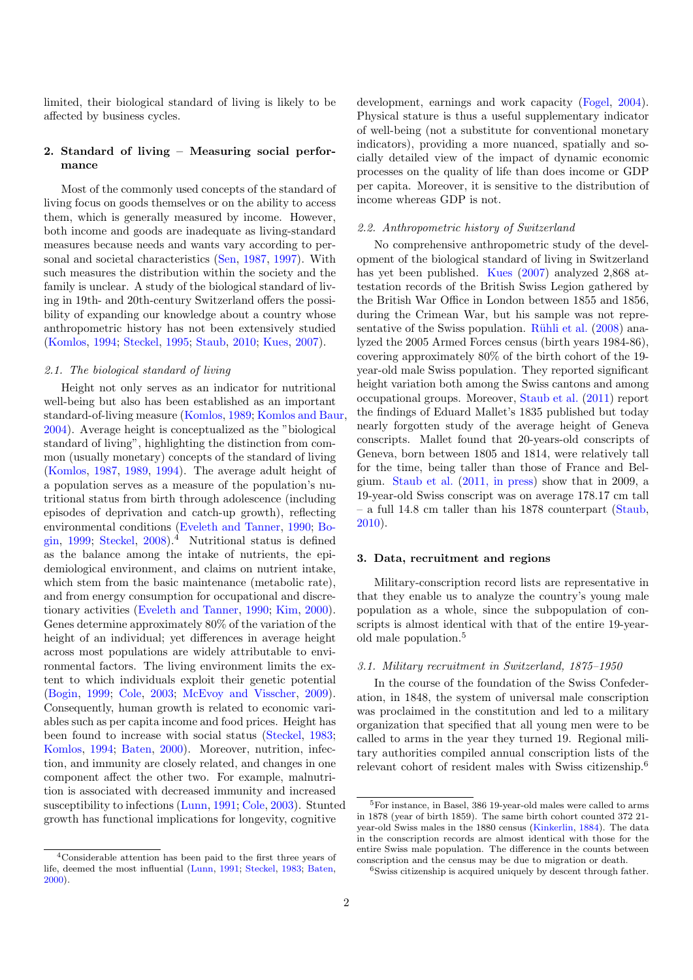limited, their biological standard of living is likely to be affected by business cycles.

# 2. Standard of living – Measuring social performance

Most of the commonly used concepts of the standard of living focus on goods themselves or on the ability to access them, which is generally measured by income. However, both income and goods are inadequate as living-standard measures because needs and wants vary according to personal and societal characteristics [\(Sen,](#page-21-5) [1987,](#page-21-5) [1997\)](#page-21-6). With such measures the distribution within the society and the family is unclear. A study of the biological standard of living in 19th- and 20th-century Switzerland offers the possibility of expanding our knowledge about a country whose anthropometric history has not been extensively studied [\(Komlos,](#page-20-9) [1994;](#page-20-9) [Steckel,](#page-21-1) [1995;](#page-21-1) [Staub,](#page-21-7) [2010;](#page-21-7) [Kues,](#page-20-8) [2007\)](#page-20-8).

#### 2.1. The biological standard of living

Height not only serves as an indicator for nutritional well-being but also has been established as an important standard-of-living measure [\(Komlos,](#page-20-10) [1989;](#page-20-10) [Komlos and Baur,](#page-20-11) [2004\)](#page-20-11). Average height is conceptualized as the "biological standard of living", highlighting the distinction from common (usually monetary) concepts of the standard of living [\(Komlos,](#page-20-12) [1987,](#page-20-12) [1989,](#page-20-10) [1994\)](#page-20-9). The average adult height of a population serves as a measure of the population's nutritional status from birth through adolescence (including episodes of deprivation and catch-up growth), reflecting environmental conditions [\(Eveleth and Tanner,](#page-20-3) [1990;](#page-20-3) [Bo](#page-19-0)[gin,](#page-19-0) [1999;](#page-19-0) [Steckel,](#page-21-8) [2008\)](#page-21-8).<sup>4</sup> Nutritional status is defined as the balance among the intake of nutrients, the epidemiological environment, and claims on nutrient intake, which stem from the basic maintenance (metabolic rate), and from energy consumption for occupational and discretionary activities [\(Eveleth and Tanner,](#page-20-3) [1990;](#page-20-3) [Kim,](#page-20-13) [2000\)](#page-20-13). Genes determine approximately 80% of the variation of the height of an individual; yet differences in average height across most populations are widely attributable to environmental factors. The living environment limits the extent to which individuals exploit their genetic potential [\(Bogin,](#page-19-0) [1999;](#page-19-0) [Cole,](#page-19-3) [2003;](#page-19-3) [McEvoy and Visscher,](#page-20-14) [2009\)](#page-20-14). Consequently, human growth is related to economic variables such as per capita income and food prices. Height has been found to increase with social status [\(Steckel,](#page-21-9) [1983;](#page-21-9) [Komlos,](#page-20-9) [1994;](#page-20-9) [Baten,](#page-19-4) [2000\)](#page-19-4). Moreover, nutrition, infection, and immunity are closely related, and changes in one component affect the other two. For example, malnutrition is associated with decreased immunity and increased susceptibility to infections [\(Lunn,](#page-20-15) [1991;](#page-20-15) [Cole,](#page-19-3) [2003\)](#page-19-3). Stunted growth has functional implications for longevity, cognitive

<sup>4</sup>Considerable attention has been paid to the first three years of life, deemed the most influential [\(Lunn,](#page-20-15) [1991;](#page-20-15) [Steckel,](#page-21-9) [1983;](#page-21-9) [Baten,](#page-19-4) [2000\)](#page-19-4).

development, earnings and work capacity [\(Fogel,](#page-20-5) [2004\)](#page-20-5). Physical stature is thus a useful supplementary indicator of well-being (not a substitute for conventional monetary indicators), providing a more nuanced, spatially and socially detailed view of the impact of dynamic economic processes on the quality of life than does income or GDP per capita. Moreover, it is sensitive to the distribution of income whereas GDP is not.

## 2.2. Anthropometric history of Switzerland

No comprehensive anthropometric study of the development of the biological standard of living in Switzerland has yet been published. [Kues](#page-20-16) [\(2007\)](#page-20-16) analyzed 2,868 attestation records of the British Swiss Legion gathered by the British War Office in London between 1855 and 1856, during the Crimean War, but his sample was not representative of the Swiss population. Rühli et al.  $(2008)$  analyzed the 2005 Armed Forces census (birth years 1984-86), covering approximately 80% of the birth cohort of the 19 year-old male Swiss population. They reported significant height variation both among the Swiss cantons and among occupational groups. Moreover, [Staub et al.](#page-21-11) [\(2011\)](#page-21-11) report the findings of Eduard Mallet's 1835 published but today nearly forgotten study of the average height of Geneva conscripts. Mallet found that 20-years-old conscripts of Geneva, born between 1805 and 1814, were relatively tall for the time, being taller than those of France and Belgium. [Staub et al.](#page-21-12) [\(2011, in press\)](#page-21-12) show that in 2009, a 19-year-old Swiss conscript was on average 178.17 cm tall – a full 14.8 cm taller than his 1878 counterpart [\(Staub,](#page-21-7) [2010\)](#page-21-7).

# 3. Data, recruitment and regions

Military-conscription record lists are representative in that they enable us to analyze the country's young male population as a whole, since the subpopulation of conscripts is almost identical with that of the entire 19-yearold male population.<sup>5</sup>

## 3.1. Military recruitment in Switzerland, 1875–1950

In the course of the foundation of the Swiss Confederation, in 1848, the system of universal male conscription was proclaimed in the constitution and led to a military organization that specified that all young men were to be called to arms in the year they turned 19. Regional military authorities compiled annual conscription lists of the relevant cohort of resident males with Swiss citizenship.<sup>6</sup>

<sup>5</sup>For instance, in Basel, 386 19-year-old males were called to arms in 1878 (year of birth 1859). The same birth cohort counted 372 21 year-old Swiss males in the 1880 census [\(Kinkerlin,](#page-20-17) [1884\)](#page-20-17). The data in the conscription records are almost identical with those for the entire Swiss male population. The difference in the counts between conscription and the census may be due to migration or death.

 $6$ Swiss citizenship is acquired uniquely by descent through father.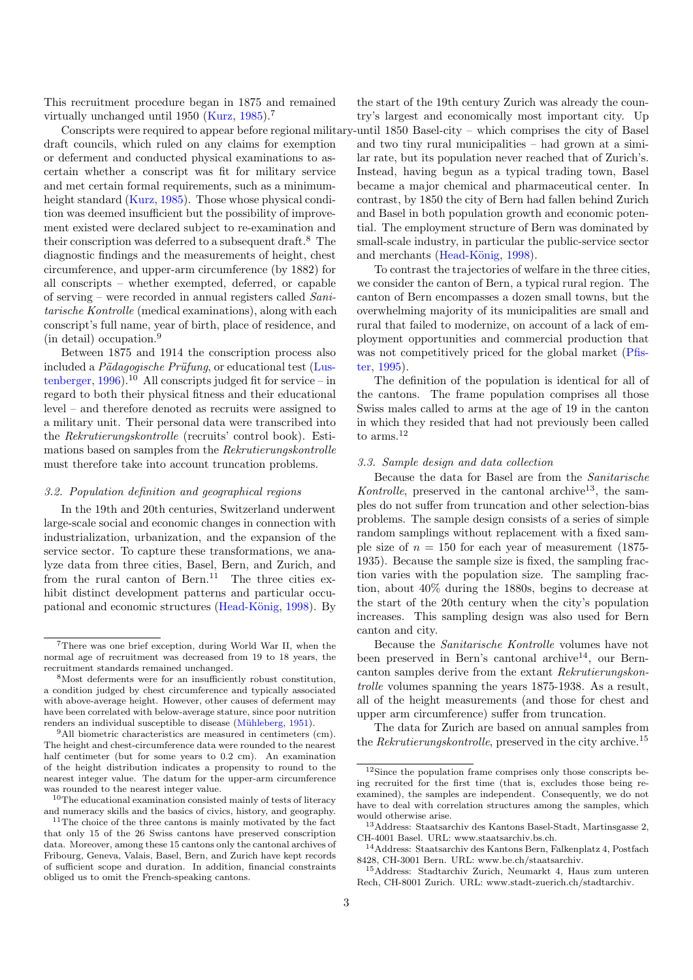This recruitment procedure began in 1875 and remained virtually unchanged until 1950 [\(Kurz,](#page-20-18) [1985\)](#page-20-18).<sup>7</sup>

Conscripts were required to appear before regional militarydraft councils, which ruled on any claims for exemption or deferment and conducted physical examinations to ascertain whether a conscript was fit for military service and met certain formal requirements, such as a minimum-height standard [\(Kurz,](#page-20-18) [1985\)](#page-20-18). Those whose physical condition was deemed insufficient but the possibility of improvement existed were declared subject to re-examination and their conscription was deferred to a subsequent draft.<sup>8</sup> The diagnostic findings and the measurements of height, chest circumference, and upper-arm circumference (by 1882) for all conscripts – whether exempted, deferred, or capable of serving – were recorded in annual registers called Sanitarische Kontrolle (medical examinations), along with each conscript's full name, year of birth, place of residence, and (in detail) occupation.<sup>9</sup>

Between 1875 and 1914 the conscription process also included a  $P\ddot{a}dagogische Prüfung,$  or educational test [\(Lus](#page-20-19)[tenberger,](#page-20-19) [1996\)](#page-20-19).<sup>10</sup> All conscripts judged fit for service – in regard to both their physical fitness and their educational level – and therefore denoted as recruits were assigned to a military unit. Their personal data were transcribed into the Rekrutierungskontrolle (recruits' control book). Estimations based on samples from the Rekrutierungskontrolle must therefore take into account truncation problems.

# 3.2. Population definition and geographical regions

In the 19th and 20th centuries, Switzerland underwent large-scale social and economic changes in connection with industrialization, urbanization, and the expansion of the service sector. To capture these transformations, we analyze data from three cities, Basel, Bern, and Zurich, and from the rural canton of Bern.<sup>11</sup> The three cities exhibit distinct development patterns and particular occu-pational and economic structures (Head-König, [1998\)](#page-20-20). By

the start of the 19th century Zurich was already the country's largest and economically most important city. Up until 1850 Basel-city – which comprises the city of Basel and two tiny rural municipalities – had grown at a similar rate, but its population never reached that of Zurich's. Instead, having begun as a typical trading town, Basel became a major chemical and pharmaceutical center. In contrast, by 1850 the city of Bern had fallen behind Zurich and Basel in both population growth and economic potential. The employment structure of Bern was dominated by small-scale industry, in particular the public-service sector and merchants (Head-König, [1998\)](#page-20-20).

To contrast the trajectories of welfare in the three cities, we consider the canton of Bern, a typical rural region. The canton of Bern encompasses a dozen small towns, but the overwhelming majority of its municipalities are small and rural that failed to modernize, on account of a lack of employment opportunities and commercial production that was not competitively priced for the global market [\(Pfis](#page-20-22)[ter,](#page-20-22) [1995\)](#page-20-22).

The definition of the population is identical for all of the cantons. The frame population comprises all those Swiss males called to arms at the age of 19 in the canton in which they resided that had not previously been called to arms.<sup>12</sup>

#### 3.3. Sample design and data collection

Because the data for Basel are from the Sanitarische Kontrolle, preserved in the cantonal archive<sup>13</sup>, the samples do not suffer from truncation and other selection-bias problems. The sample design consists of a series of simple random samplings without replacement with a fixed sample size of  $n = 150$  for each year of measurement (1875-1935). Because the sample size is fixed, the sampling fraction varies with the population size. The sampling fraction, about 40% during the 1880s, begins to decrease at the start of the 20th century when the city's population increases. This sampling design was also used for Bern canton and city.

Because the Sanitarische Kontrolle volumes have not been preserved in Bern's cantonal archive<sup>14</sup>, our Berncanton samples derive from the extant Rekrutierungskontrolle volumes spanning the years 1875-1938. As a result, all of the height measurements (and those for chest and upper arm circumference) suffer from truncation.

The data for Zurich are based on annual samples from the Rekrutierungskontrolle, preserved in the city archive.<sup>15</sup>

<sup>7</sup>There was one brief exception, during World War II, when the normal age of recruitment was decreased from 19 to 18 years, the recruitment standards remained unchanged.

<sup>8</sup>Most deferments were for an insufficiently robust constitution, a condition judged by chest circumference and typically associated with above-average height. However, other causes of deferment may have been correlated with below-average stature, since poor nutrition renders an individual susceptible to disease (Mühleberg, [1951\)](#page-20-21).

<sup>&</sup>lt;sup>9</sup>All biometric characteristics are measured in centimeters (cm). The height and chest-circumference data were rounded to the nearest half centimeter (but for some years to 0.2 cm). An examination of the height distribution indicates a propensity to round to the nearest integer value. The datum for the upper-arm circumference was rounded to the nearest integer value.

<sup>10</sup>The educational examination consisted mainly of tests of literacy and numeracy skills and the basics of civics, history, and geography.

 $11$ The choice of the three cantons is mainly motivated by the fact that only 15 of the 26 Swiss cantons have preserved conscription data. Moreover, among these 15 cantons only the cantonal archives of Fribourg, Geneva, Valais, Basel, Bern, and Zurich have kept records of sufficient scope and duration. In addition, financial constraints obliged us to omit the French-speaking cantons.

<sup>&</sup>lt;sup>12</sup>Since the population frame comprises only those conscripts being recruited for the first time (that is, excludes those being reexamined), the samples are independent. Consequently, we do not have to deal with correlation structures among the samples, which would otherwise arise.

<sup>13</sup>Address: Staatsarchiv des Kantons Basel-Stadt, Martinsgasse 2, CH-4001 Basel. URL: www.staatsarchiv.bs.ch.

<sup>14</sup>Address: Staatsarchiv des Kantons Bern, Falkenplatz 4, Postfach 8428, CH-3001 Bern. URL: www.be.ch/staatsarchiv.

<sup>15</sup>Address: Stadtarchiv Zurich, Neumarkt 4, Haus zum unteren Rech, CH-8001 Zurich. URL: www.stadt-zuerich.ch/stadtarchiv.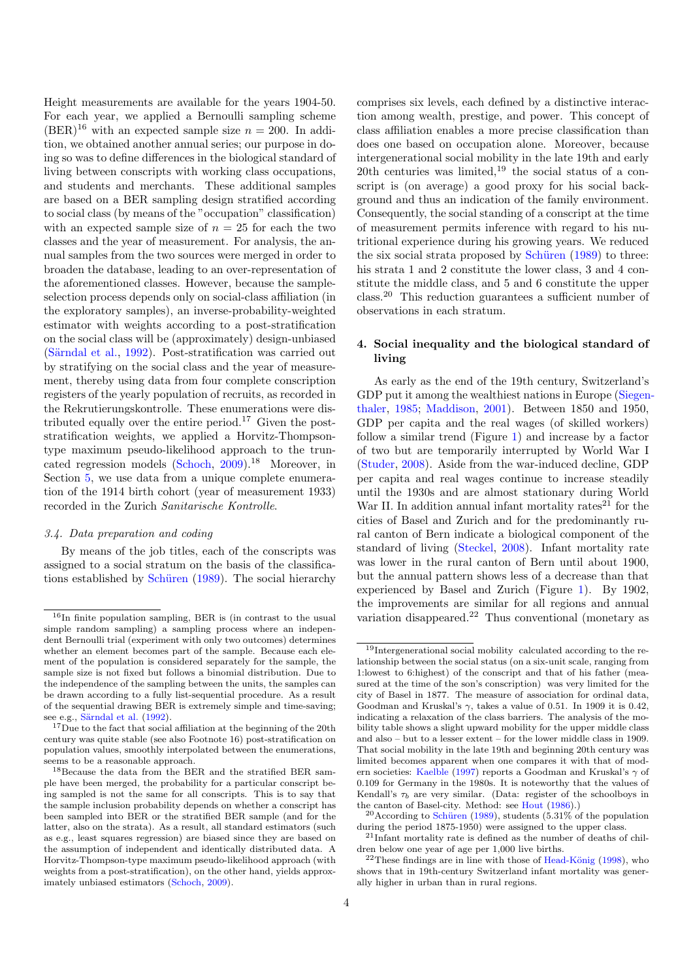Height measurements are available for the years 1904-50. For each year, we applied a Bernoulli sampling scheme  $(BER)^{16}$  with an expected sample size  $n = 200$ . In addition, we obtained another annual series; our purpose in doing so was to define differences in the biological standard of living between conscripts with working class occupations, and students and merchants. These additional samples are based on a BER sampling design stratified according to social class (by means of the "occupation" classification) with an expected sample size of  $n = 25$  for each the two classes and the year of measurement. For analysis, the annual samples from the two sources were merged in order to broaden the database, leading to an over-representation of the aforementioned classes. However, because the sampleselection process depends only on social-class affiliation (in the exploratory samples), an inverse-probability-weighted estimator with weights according to a post-stratification on the social class will be (approximately) design-unbiased  $(Särndal et al., 1992)$  $(Särndal et al., 1992)$ . Post-stratification was carried out by stratifying on the social class and the year of measurement, thereby using data from four complete conscription registers of the yearly population of recruits, as recorded in the Rekrutierungskontrolle. These enumerations were distributed equally over the entire period.<sup>17</sup> Given the poststratification weights, we applied a Horvitz-Thompsontype maximum pseudo-likelihood approach to the truncated regression models [\(Schoch,](#page-21-14) [2009\)](#page-21-14).<sup>18</sup> Moreover, in Section [5,](#page-9-0) we use data from a unique complete enumeration of the 1914 birth cohort (year of measurement 1933) recorded in the Zurich Sanitarische Kontrolle.

# 3.4. Data preparation and coding

By means of the job titles, each of the conscripts was assigned to a social stratum on the basis of the classifica-tions established by Schüren [\(1989\)](#page-21-15). The social hierarchy

comprises six levels, each defined by a distinctive interaction among wealth, prestige, and power. This concept of class affiliation enables a more precise classification than does one based on occupation alone. Moreover, because intergenerational social mobility in the late 19th and early 20th centuries was limited, $19$  the social status of a conscript is (on average) a good proxy for his social background and thus an indication of the family environment. Consequently, the social standing of a conscript at the time of measurement permits inference with regard to his nutritional experience during his growing years. We reduced the six social strata proposed by Schüren  $(1989)$  to three: his strata 1 and 2 constitute the lower class, 3 and 4 constitute the middle class, and 5 and 6 constitute the upper class.<sup>20</sup> This reduction guarantees a sufficient number of observations in each stratum.

# 4. Social inequality and the biological standard of living

As early as the end of the 19th century, Switzerland's GDP put it among the wealthiest nations in Europe [\(Siegen](#page-21-16)[thaler,](#page-21-16) [1985;](#page-21-16) [Maddison,](#page-20-23) [2001\)](#page-20-23). Between 1850 and 1950, GDP per capita and the real wages (of skilled workers) follow a similar trend (Figure [1\)](#page-4-0) and increase by a factor of two but are temporarily interrupted by World War I [\(Studer,](#page-21-17) [2008\)](#page-21-17). Aside from the war-induced decline, GDP per capita and real wages continue to increase steadily until the 1930s and are almost stationary during World War II. In addition annual infant mortality rates<sup>21</sup> for the cities of Basel and Zurich and for the predominantly rural canton of Bern indicate a biological component of the standard of living [\(Steckel,](#page-21-8) [2008\)](#page-21-8). Infant mortality rate was lower in the rural canton of Bern until about 1900, but the annual pattern shows less of a decrease than that experienced by Basel and Zurich (Figure [1\)](#page-4-0). By 1902, the improvements are similar for all regions and annual variation disappeared.<sup>22</sup> Thus conventional (monetary as

<sup>16</sup>In finite population sampling, BER is (in contrast to the usual simple random sampling) a sampling process where an independent Bernoulli trial (experiment with only two outcomes) determines whether an element becomes part of the sample. Because each element of the population is considered separately for the sample, the sample size is not fixed but follows a binomial distribution. Due to the independence of the sampling between the units, the samples can be drawn according to a fully list-sequential procedure. As a result of the sequential drawing BER is extremely simple and time-saving; see e.g., Särndal et al. [\(1992\)](#page-21-13).

 $^{17}\rm{Due}$  to the fact that social affiliation at the beginning of the 20th century was quite stable (see also Footnote 16) post-stratification on population values, smoothly interpolated between the enumerations, seems to be a reasonable approach.

<sup>18</sup>Because the data from the BER and the stratified BER sample have been merged, the probability for a particular conscript being sampled is not the same for all conscripts. This is to say that the sample inclusion probability depends on whether a conscript has been sampled into BER or the stratified BER sample (and for the latter, also on the strata). As a result, all standard estimators (such as e.g., least squares regression) are biased since they are based on the assumption of independent and identically distributed data. A Horvitz-Thompson-type maximum pseudo-likelihood approach (with weights from a post-stratification), on the other hand, yields approximately unbiased estimators [\(Schoch,](#page-21-14) [2009\)](#page-21-14).

<sup>19</sup>Intergenerational social mobility calculated according to the relationship between the social status (on a six-unit scale, ranging from 1:lowest to 6:highest) of the conscript and that of his father (measured at the time of the son's conscription) was very limited for the city of Basel in 1877. The measure of association for ordinal data, Goodman and Kruskal's  $\gamma$ , takes a value of 0.51. In 1909 it is 0.42, indicating a relaxation of the class barriers. The analysis of the mobility table shows a slight upward mobility for the upper middle class and also – but to a lesser extent – for the lower middle class in 1909. That social mobility in the late 19th and beginning 20th century was limited becomes apparent when one compares it with that of mod-ern societies: [Kaelble](#page-20-24) [\(1997\)](#page-20-24) reports a Goodman and Kruskal's  $\gamma$  of 0.109 for Germany in the 1980s. It is noteworthy that the values of Kendall's  $\tau_b$  are very similar. (Data: register of the schoolboys in the canton of Basel-city. Method: see [Hout](#page-20-25) [\(1986\)](#page-20-25).)

 $^{20}$ According to Schüren [\(1989\)](#page-21-15), students (5.31% of the population during the period 1875-1950) were assigned to the upper class.

 $21$ Infant mortality rate is defined as the number of deaths of children below one year of age per 1,000 live births.

 $22$ These findings are in line with those of Head-König [\(1998\)](#page-20-20), who shows that in 19th-century Switzerland infant mortality was generally higher in urban than in rural regions.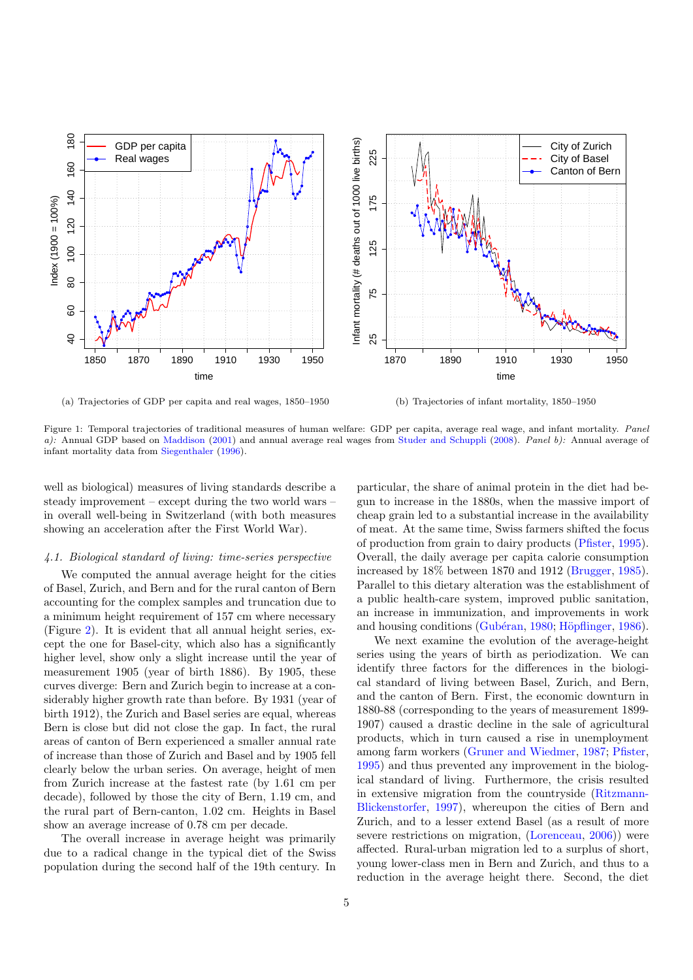

<span id="page-4-0"></span>(a) Trajectories of GDP per capita and real wages, 1850–1950

<span id="page-4-1"></span>(b) Trajectories of infant mortality, 1850–1950

Figure 1: Temporal trajectories of traditional measures of human welfare: GDP per capita, average real wage, and infant mortality. Panel a): Annual GDP based on [Maddison](#page-20-23) [\(2001\)](#page-20-23) and annual average real wages from [Studer and Schuppli](#page-21-18) [\(2008\)](#page-21-18). Panel b): Annual average of infant mortality data from [Siegenthaler](#page-21-19) [\(1996\)](#page-21-19).

well as biological) measures of living standards describe a steady improvement – except during the two world wars – in overall well-being in Switzerland (with both measures showing an acceleration after the First World War).

# <span id="page-4-2"></span>4.1. Biological standard of living: time-series perspective

We computed the annual average height for the cities of Basel, Zurich, and Bern and for the rural canton of Bern accounting for the complex samples and truncation due to a minimum height requirement of 157 cm where necessary (Figure [2\)](#page-5-0). It is evident that all annual height series, except the one for Basel-city, which also has a significantly higher level, show only a slight increase until the year of measurement 1905 (year of birth 1886). By 1905, these curves diverge: Bern and Zurich begin to increase at a considerably higher growth rate than before. By 1931 (year of birth 1912), the Zurich and Basel series are equal, whereas Bern is close but did not close the gap. In fact, the rural areas of canton of Bern experienced a smaller annual rate of increase than those of Zurich and Basel and by 1905 fell clearly below the urban series. On average, height of men from Zurich increase at the fastest rate (by 1.61 cm per decade), followed by those the city of Bern, 1.19 cm, and the rural part of Bern-canton, 1.02 cm. Heights in Basel show an average increase of 0.78 cm per decade.

The overall increase in average height was primarily due to a radical change in the typical diet of the Swiss population during the second half of the 19th century. In

particular, the share of animal protein in the diet had begun to increase in the 1880s, when the massive import of cheap grain led to a substantial increase in the availability of meat. At the same time, Swiss farmers shifted the focus of production from grain to dairy products [\(Pfister,](#page-20-22) [1995\)](#page-20-22). Overall, the daily average per capita calorie consumption increased by 18% between 1870 and 1912 [\(Brugger,](#page-19-5) [1985\)](#page-19-5). Parallel to this dietary alteration was the establishment of a public health-care system, improved public sanitation, an increase in immunization, and improvements in work and housing conditions (Gubéran, [1980;](#page-20-26) Höpflinger, [1986\)](#page-20-27).

We next examine the evolution of the average-height series using the years of birth as periodization. We can identify three factors for the differences in the biological standard of living between Basel, Zurich, and Bern, and the canton of Bern. First, the economic downturn in 1880-88 (corresponding to the years of measurement 1899- 1907) caused a drastic decline in the sale of agricultural products, which in turn caused a rise in unemployment among farm workers [\(Gruner and Wiedmer,](#page-20-28) [1987;](#page-20-28) [Pfister,](#page-20-22) [1995\)](#page-20-22) and thus prevented any improvement in the biological standard of living. Furthermore, the crisis resulted in extensive migration from the countryside [\(Ritzmann-](#page-21-20)[Blickenstorfer,](#page-21-20) [1997\)](#page-21-20), whereupon the cities of Bern and Zurich, and to a lesser extend Basel (as a result of more severe restrictions on migration, [\(Lorenceau,](#page-20-29) [2006\)](#page-20-29)) were affected. Rural-urban migration led to a surplus of short, young lower-class men in Bern and Zurich, and thus to a reduction in the average height there. Second, the diet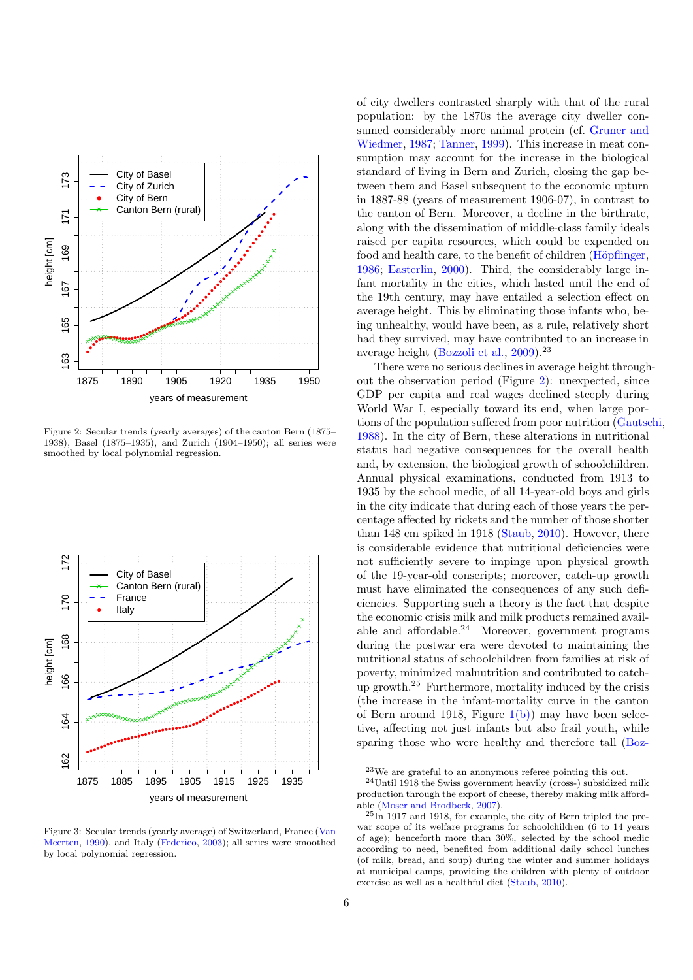

<span id="page-5-0"></span>Figure 2: Secular trends (yearly averages) of the canton Bern (1875– 1938), Basel (1875–1935), and Zurich (1904–1950); all series were smoothed by local polynomial regression.



<span id="page-5-1"></span>Figure 3: Secular trends (yearly average) of Switzerland, France [\(Van](#page-21-21) [Meerten,](#page-21-21) [1990\)](#page-21-21), and Italy [\(Federico,](#page-20-30) [2003\)](#page-20-30); all series were smoothed by local polynomial regression.

of city dwellers contrasted sharply with that of the rural population: by the 1870s the average city dweller consumed considerably more animal protein (cf. [Gruner and](#page-20-28) [Wiedmer,](#page-20-28) [1987;](#page-20-28) [Tanner,](#page-21-22) [1999\)](#page-21-22). This increase in meat consumption may account for the increase in the biological standard of living in Bern and Zurich, closing the gap between them and Basel subsequent to the economic upturn in 1887-88 (years of measurement 1906-07), in contrast to the canton of Bern. Moreover, a decline in the birthrate, along with the dissemination of middle-class family ideals raised per capita resources, which could be expended on food and health care, to the benefit of children (Höpflinger, [1986;](#page-20-27) [Easterlin,](#page-20-31) [2000\)](#page-20-31). Third, the considerably large infant mortality in the cities, which lasted until the end of the 19th century, may have entailed a selection effect on average height. This by eliminating those infants who, being unhealthy, would have been, as a rule, relatively short had they survived, may have contributed to an increase in average height [\(Bozzoli et al.,](#page-19-6) [2009\)](#page-19-6).<sup>23</sup>

There were no serious declines in average height throughout the observation period (Figure [2\)](#page-5-0): unexpected, since GDP per capita and real wages declined steeply during World War I, especially toward its end, when large portions of the population suffered from poor nutrition [\(Gautschi,](#page-20-32) [1988\)](#page-20-32). In the city of Bern, these alterations in nutritional status had negative consequences for the overall health and, by extension, the biological growth of schoolchildren. Annual physical examinations, conducted from 1913 to 1935 by the school medic, of all 14-year-old boys and girls in the city indicate that during each of those years the percentage affected by rickets and the number of those shorter than 148 cm spiked in 1918 [\(Staub,](#page-21-7) [2010\)](#page-21-7). However, there is considerable evidence that nutritional deficiencies were not sufficiently severe to impinge upon physical growth of the 19-year-old conscripts; moreover, catch-up growth must have eliminated the consequences of any such deficiencies. Supporting such a theory is the fact that despite the economic crisis milk and milk products remained available and affordable. $24$  Moreover, government programs during the postwar era were devoted to maintaining the nutritional status of schoolchildren from families at risk of poverty, minimized malnutrition and contributed to catchup growth.<sup>25</sup> Furthermore, mortality induced by the crisis (the increase in the infant-mortality curve in the canton of Bern around 1918, Figure  $1(b)$  may have been selective, affecting not just infants but also frail youth, while sparing those who were healthy and therefore tall [\(Boz-](#page-19-6)

<sup>23</sup>[We are grateful to an anonymous referee pointing this out.](#page-19-6)

<sup>24</sup>[Until 1918 the Swiss government heavily \(cross-\) subsidized milk](#page-19-6) [production through the export of cheese, thereby making milk afford](#page-19-6)[able \(Moser and Brodbeck,](#page-19-6) [2007\)](#page-20-33).

 ${}^{25}$ [In 1917 and 1918, for example, the city of Bern tripled the pre](#page-19-6)[war scope of its welfare programs for schoolchildren \(6 to 14 years](#page-19-6) [of age\); henceforth more than 30%, selected by the school medic](#page-19-6) [according to need, benefited from additional daily school lunches](#page-19-6) [\(of milk, bread, and soup\) during the winter and summer holidays](#page-19-6) [at municipal camps, providing the children with plenty of outdoor](#page-19-6) [exercise as well as a healthful diet \(Staub,](#page-19-6) [2010\)](#page-21-7).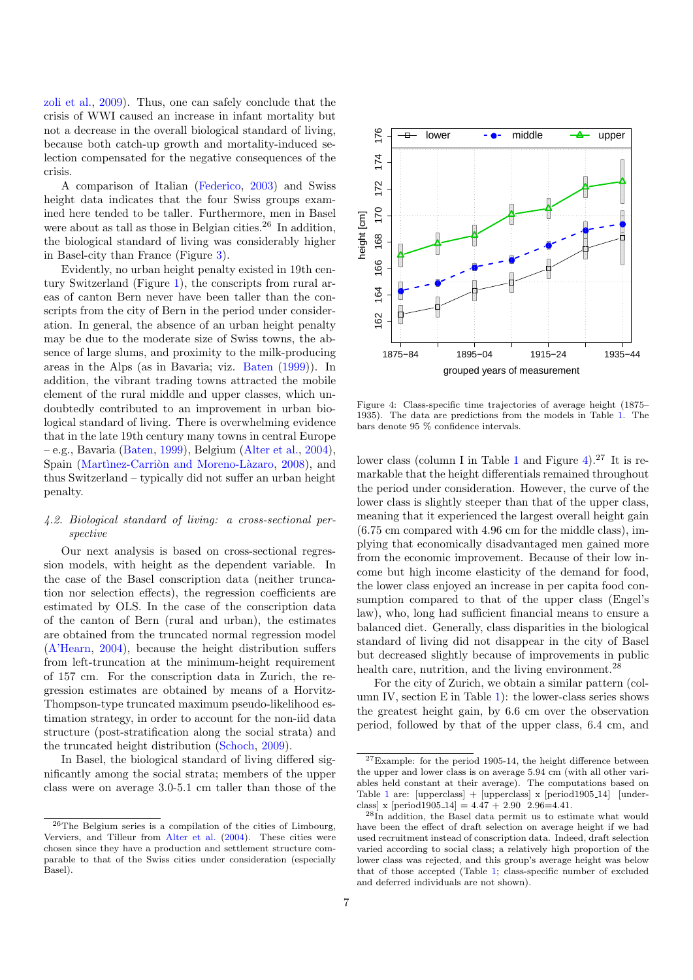[zoli et al.,](#page-19-6) [2009\)](#page-19-6). Thus, one can safely conclude that the crisis of WWI caused an increase in infant mortality but not a decrease in the overall biological standard of living, because both catch-up growth and mortality-induced selection compensated for the negative consequences of the crisis.

A comparison of Italian [\(Federico,](#page-20-30) [2003\)](#page-20-30) and Swiss height data indicates that the four Swiss groups examined here tended to be taller. Furthermore, men in Basel were about as tall as those in Belgian cities.<sup>26</sup> In addition, the biological standard of living was considerably higher in Basel-city than France (Figure [3\)](#page-5-1).

Evidently, no urban height penalty existed in 19th century Switzerland (Figure [1\)](#page-4-0), the conscripts from rural areas of canton Bern never have been taller than the conscripts from the city of Bern in the period under consideration. In general, the absence of an urban height penalty may be due to the moderate size of Swiss towns, the absence of large slums, and proximity to the milk-producing areas in the Alps (as in Bavaria; viz. [Baten](#page-19-7) [\(1999\)](#page-19-7)). In addition, the vibrant trading towns attracted the mobile element of the rural middle and upper classes, which undoubtedly contributed to an improvement in urban biological standard of living. There is overwhelming evidence that in the late 19th century many towns in central Europe – e.g., Bavaria [\(Baten,](#page-19-7) [1999\)](#page-19-7), Belgium [\(Alter et al.,](#page-19-8) [2004\)](#page-19-8), Spain (Martinez-Carriòn and Moreno-Làzaro, [2008\)](#page-20-34), and thus Switzerland – typically did not suffer an urban height penalty.

# 4.2. Biological standard of living: a cross-sectional perspective

Our next analysis is based on cross-sectional regression models, with height as the dependent variable. In the case of the Basel conscription data (neither truncation nor selection effects), the regression coefficients are estimated by OLS. In the case of the conscription data of the canton of Bern (rural and urban), the estimates are obtained from the truncated normal regression model [\(A'Hearn,](#page-19-9) [2004\)](#page-19-9), because the height distribution suffers from left-truncation at the minimum-height requirement of 157 cm. For the conscription data in Zurich, the regression estimates are obtained by means of a Horvitz-Thompson-type truncated maximum pseudo-likelihood estimation strategy, in order to account for the non-iid data structure (post-stratification along the social strata) and the truncated height distribution [\(Schoch,](#page-21-14) [2009\)](#page-21-14).

In Basel, the biological standard of living differed significantly among the social strata; members of the upper class were on average 3.0-5.1 cm taller than those of the



<span id="page-6-0"></span>Figure 4: Class-specific time trajectories of average height (1875– 1935). The data are predictions from the models in Table [1.](#page-7-0) The bars denote 95 % confidence intervals.

lower class (column I in Table [1](#page-7-0) and Figure [4\)](#page-6-0).<sup>27</sup> It is remarkable that the height differentials remained throughout the period under consideration. However, the curve of the lower class is slightly steeper than that of the upper class, meaning that it experienced the largest overall height gain (6.75 cm compared with 4.96 cm for the middle class), implying that economically disadvantaged men gained more from the economic improvement. Because of their low income but high income elasticity of the demand for food, the lower class enjoyed an increase in per capita food consumption compared to that of the upper class (Engel's law), who, long had sufficient financial means to ensure a balanced diet. Generally, class disparities in the biological standard of living did not disappear in the city of Basel but decreased slightly because of improvements in public health care, nutrition, and the living environment.<sup>28</sup>

For the city of Zurich, we obtain a similar pattern (column IV, section E in Table [1\)](#page-7-0): the lower-class series shows the greatest height gain, by 6.6 cm over the observation period, followed by that of the upper class, 6.4 cm, and

<sup>26</sup>The Belgium series is a compilation of the cities of Limbourg, Verviers, and Tilleur from [Alter et al.](#page-19-8) [\(2004\)](#page-19-8). These cities were chosen since they have a production and settlement structure comparable to that of the Swiss cities under consideration (especially Basel).

 $27$ Example: for the period 1905-14, the height difference between the upper and lower class is on average 5.94 cm (with all other variables held constant at their average). The computations based on Table [1](#page-7-0) are: [upperclass] + [upperclass] x [period1905 14] [underclass] x [period1905\_14] =  $4.47 + 2.90$  2.96=4.41.

<sup>28</sup>In addition, the Basel data permit us to estimate what would have been the effect of draft selection on average height if we had used recruitment instead of conscription data. Indeed, draft selection varied according to social class; a relatively high proportion of the lower class was rejected, and this group's average height was below that of those accepted (Table [1;](#page-7-0) class-specific number of excluded and deferred individuals are not shown).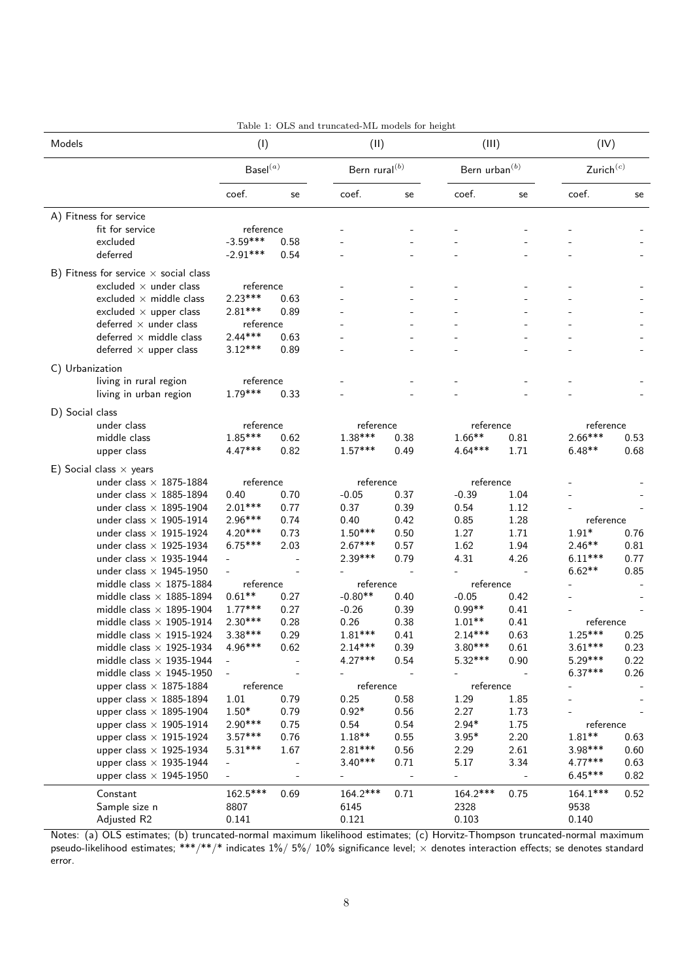| Bern rural $^{(b)}$<br>$\mathsf{BaseI}^{(a)}$<br>Bern urban $^{(b)}$<br>$Z$ urich $(c)$<br>coef.<br>coef.<br>coef.<br>coef.<br>se<br>se<br>se<br>se<br>A) Fitness for service<br>fit for service<br>reference<br>$-3.59***$<br>0.58<br>excluded<br>$-2.91***$<br>0.54<br>deferred<br>B) Fitness for service $\times$ social class<br>excluded $\times$ under class<br>reference<br>$2.23***$<br>excluded $\times$ middle class<br>0.63<br>$2.81***$<br>0.89<br>excluded $\times$ upper class<br>deferred $\times$ under class<br>reference<br>$2.44***$<br>0.63<br>deferred $\times$ middle class<br>$3.12***$<br>0.89<br>deferred $\times$ upper class<br>C) Urbanization<br>living in rural region<br>reference<br>$1.79***$<br>0.33<br>living in urban region<br>D) Social class<br>under class<br>reference<br>reference<br>reference<br>reference<br>1.85***<br>1.38***<br>$2.66***$<br>$1.66**$<br>0.62<br>0.38<br>0.81<br>0.53<br>middle class<br>4.47***<br>$1.57***$<br>$4.64***$<br>0.82<br>1.71<br>$6.48**$<br>0.49<br>0.68<br>upper class<br>E) Social class $\times$ years<br>under class $\times$ 1875-1884<br>reference<br>reference<br>reference<br>under class $\times$ 1885-1894<br>0.40<br>0.70<br>$-0.05$<br>0.37<br>1.04<br>$-0.39$<br>$2.01***$<br>under class $\times$ 1895-1904<br>0.77<br>0.37<br>0.39<br>0.54<br>1.12<br>$2.96***$<br>under class $\times$ 1905-1914<br>0.74<br>0.40<br>0.42<br>0.85<br>1.28<br>reference<br>4.20***<br>0.73<br>$1.50***$<br>1.27<br>under class $\times$ 1915-1924<br>0.50<br>1.71<br>$1.91*$<br>0.76<br>$6.75***$<br>$2.67***$<br>2.03<br>1.62<br>$2.46**$<br>0.81<br>under class $\times$ 1925-1934<br>0.57<br>1.94<br>$2.39***$<br>4.31<br>$6.11***$<br>under class $\times$ 1935-1944<br>0.79<br>4.26<br>0.77<br>$6.62**$<br>under class $\times$ 1945-1950<br>0.85<br>middle class $\times$ 1875-1884<br>reference<br>reference<br>reference<br>$0.61**$<br>$-0.80**$<br>middle class $\times$ 1885-1894<br>0.27<br>$-0.05$<br>0.42<br>0.40<br>$1.77***$<br>0.27<br>$0.99**$<br>middle class $\times$ 1895-1904<br>$-0.26$<br>0.39<br>0.41<br>$2.30***$<br>0.26<br>$1.01***$<br>middle class $\times$ 1905-1914<br>0.28<br>0.38<br>0.41<br>reference<br>3.38***<br>0.29<br>$1.81***$<br>$2.14***$<br>$1.25***$<br>middle class $\times$ 1915-1924<br>0.41<br>0.63<br>0.25<br>4.96***<br>$2.14***$<br>3.80***<br>0.62<br>0.39<br>$3.61***$<br>0.23<br>middle class $\times$ 1925-1934<br>0.61<br>$4.27***$<br>$5.29***$<br>5.32***<br>0.90<br>0.22<br>middle class $\times$ 1935-1944<br>0.54<br>$6.37***$<br>middle class $\times$ 1945-1950<br>0.26<br>upper class $\times$ 1875-1884<br>reference<br>reference<br>reference<br>upper class $\times$ 1885-1894<br>1.01<br>0.79<br>0.25<br>0.58<br>1.29<br>1.85<br>$1.50*$<br>$0.92*$<br>2.27<br>upper class $\times$ 1895-1904<br>0.79<br>0.56<br>1.73<br>2.90***<br>0.75<br>$2.94*$<br>upper class $\times$ 1905-1914<br>0.54<br>0.54<br>1.75<br>reference<br>$1.18**$<br>$1.81**$<br>$3.57***$<br>0.76<br>0.55<br>$3.95*$<br>2.20<br>upper class $\times$ 1915-1924<br>0.63<br>$5.31***$<br>1.67<br>$2.81***$<br>3.98***<br>upper class $\times$ 1925-1934<br>0.56<br>2.29<br>2.61<br>0.60<br>$3.40***$<br>4.77***<br>0.63<br>upper class $\times$ 1935-1944<br>0.71<br>5.17<br>3.34<br>$6.45***$<br>upper class $\times$ 1945-1950<br>0.82<br>$\frac{1}{2}$<br>$\overline{\phantom{a}}$<br>$\overline{\phantom{a}}$<br>$\equiv$<br>$\frac{1}{2}$<br>Constant<br>162.5***<br>0.69<br>164.2***<br>0.71<br>164.2***<br>0.75<br>164.1***<br>0.52 | Models        | (1) | (II) | (III) | (IV) |  |
|------------------------------------------------------------------------------------------------------------------------------------------------------------------------------------------------------------------------------------------------------------------------------------------------------------------------------------------------------------------------------------------------------------------------------------------------------------------------------------------------------------------------------------------------------------------------------------------------------------------------------------------------------------------------------------------------------------------------------------------------------------------------------------------------------------------------------------------------------------------------------------------------------------------------------------------------------------------------------------------------------------------------------------------------------------------------------------------------------------------------------------------------------------------------------------------------------------------------------------------------------------------------------------------------------------------------------------------------------------------------------------------------------------------------------------------------------------------------------------------------------------------------------------------------------------------------------------------------------------------------------------------------------------------------------------------------------------------------------------------------------------------------------------------------------------------------------------------------------------------------------------------------------------------------------------------------------------------------------------------------------------------------------------------------------------------------------------------------------------------------------------------------------------------------------------------------------------------------------------------------------------------------------------------------------------------------------------------------------------------------------------------------------------------------------------------------------------------------------------------------------------------------------------------------------------------------------------------------------------------------------------------------------------------------------------------------------------------------------------------------------------------------------------------------------------------------------------------------------------------------------------------------------------------------------------------------------------------------------------------------------------------------------------------------------------------------------------------------------------------------------------------------------------------------------------------------------------------------------------------------------------------------------------------------------------------------------------------------------------------------------------------------------------------------------------------------------------------------------------------------------------------------------------------------------------------|---------------|-----|------|-------|------|--|
|                                                                                                                                                                                                                                                                                                                                                                                                                                                                                                                                                                                                                                                                                                                                                                                                                                                                                                                                                                                                                                                                                                                                                                                                                                                                                                                                                                                                                                                                                                                                                                                                                                                                                                                                                                                                                                                                                                                                                                                                                                                                                                                                                                                                                                                                                                                                                                                                                                                                                                                                                                                                                                                                                                                                                                                                                                                                                                                                                                                                                                                                                                                                                                                                                                                                                                                                                                                                                                                                                                                                                                  |               |     |      |       |      |  |
|                                                                                                                                                                                                                                                                                                                                                                                                                                                                                                                                                                                                                                                                                                                                                                                                                                                                                                                                                                                                                                                                                                                                                                                                                                                                                                                                                                                                                                                                                                                                                                                                                                                                                                                                                                                                                                                                                                                                                                                                                                                                                                                                                                                                                                                                                                                                                                                                                                                                                                                                                                                                                                                                                                                                                                                                                                                                                                                                                                                                                                                                                                                                                                                                                                                                                                                                                                                                                                                                                                                                                                  |               |     |      |       |      |  |
|                                                                                                                                                                                                                                                                                                                                                                                                                                                                                                                                                                                                                                                                                                                                                                                                                                                                                                                                                                                                                                                                                                                                                                                                                                                                                                                                                                                                                                                                                                                                                                                                                                                                                                                                                                                                                                                                                                                                                                                                                                                                                                                                                                                                                                                                                                                                                                                                                                                                                                                                                                                                                                                                                                                                                                                                                                                                                                                                                                                                                                                                                                                                                                                                                                                                                                                                                                                                                                                                                                                                                                  |               |     |      |       |      |  |
|                                                                                                                                                                                                                                                                                                                                                                                                                                                                                                                                                                                                                                                                                                                                                                                                                                                                                                                                                                                                                                                                                                                                                                                                                                                                                                                                                                                                                                                                                                                                                                                                                                                                                                                                                                                                                                                                                                                                                                                                                                                                                                                                                                                                                                                                                                                                                                                                                                                                                                                                                                                                                                                                                                                                                                                                                                                                                                                                                                                                                                                                                                                                                                                                                                                                                                                                                                                                                                                                                                                                                                  |               |     |      |       |      |  |
|                                                                                                                                                                                                                                                                                                                                                                                                                                                                                                                                                                                                                                                                                                                                                                                                                                                                                                                                                                                                                                                                                                                                                                                                                                                                                                                                                                                                                                                                                                                                                                                                                                                                                                                                                                                                                                                                                                                                                                                                                                                                                                                                                                                                                                                                                                                                                                                                                                                                                                                                                                                                                                                                                                                                                                                                                                                                                                                                                                                                                                                                                                                                                                                                                                                                                                                                                                                                                                                                                                                                                                  |               |     |      |       |      |  |
|                                                                                                                                                                                                                                                                                                                                                                                                                                                                                                                                                                                                                                                                                                                                                                                                                                                                                                                                                                                                                                                                                                                                                                                                                                                                                                                                                                                                                                                                                                                                                                                                                                                                                                                                                                                                                                                                                                                                                                                                                                                                                                                                                                                                                                                                                                                                                                                                                                                                                                                                                                                                                                                                                                                                                                                                                                                                                                                                                                                                                                                                                                                                                                                                                                                                                                                                                                                                                                                                                                                                                                  |               |     |      |       |      |  |
|                                                                                                                                                                                                                                                                                                                                                                                                                                                                                                                                                                                                                                                                                                                                                                                                                                                                                                                                                                                                                                                                                                                                                                                                                                                                                                                                                                                                                                                                                                                                                                                                                                                                                                                                                                                                                                                                                                                                                                                                                                                                                                                                                                                                                                                                                                                                                                                                                                                                                                                                                                                                                                                                                                                                                                                                                                                                                                                                                                                                                                                                                                                                                                                                                                                                                                                                                                                                                                                                                                                                                                  |               |     |      |       |      |  |
|                                                                                                                                                                                                                                                                                                                                                                                                                                                                                                                                                                                                                                                                                                                                                                                                                                                                                                                                                                                                                                                                                                                                                                                                                                                                                                                                                                                                                                                                                                                                                                                                                                                                                                                                                                                                                                                                                                                                                                                                                                                                                                                                                                                                                                                                                                                                                                                                                                                                                                                                                                                                                                                                                                                                                                                                                                                                                                                                                                                                                                                                                                                                                                                                                                                                                                                                                                                                                                                                                                                                                                  |               |     |      |       |      |  |
|                                                                                                                                                                                                                                                                                                                                                                                                                                                                                                                                                                                                                                                                                                                                                                                                                                                                                                                                                                                                                                                                                                                                                                                                                                                                                                                                                                                                                                                                                                                                                                                                                                                                                                                                                                                                                                                                                                                                                                                                                                                                                                                                                                                                                                                                                                                                                                                                                                                                                                                                                                                                                                                                                                                                                                                                                                                                                                                                                                                                                                                                                                                                                                                                                                                                                                                                                                                                                                                                                                                                                                  |               |     |      |       |      |  |
|                                                                                                                                                                                                                                                                                                                                                                                                                                                                                                                                                                                                                                                                                                                                                                                                                                                                                                                                                                                                                                                                                                                                                                                                                                                                                                                                                                                                                                                                                                                                                                                                                                                                                                                                                                                                                                                                                                                                                                                                                                                                                                                                                                                                                                                                                                                                                                                                                                                                                                                                                                                                                                                                                                                                                                                                                                                                                                                                                                                                                                                                                                                                                                                                                                                                                                                                                                                                                                                                                                                                                                  |               |     |      |       |      |  |
|                                                                                                                                                                                                                                                                                                                                                                                                                                                                                                                                                                                                                                                                                                                                                                                                                                                                                                                                                                                                                                                                                                                                                                                                                                                                                                                                                                                                                                                                                                                                                                                                                                                                                                                                                                                                                                                                                                                                                                                                                                                                                                                                                                                                                                                                                                                                                                                                                                                                                                                                                                                                                                                                                                                                                                                                                                                                                                                                                                                                                                                                                                                                                                                                                                                                                                                                                                                                                                                                                                                                                                  |               |     |      |       |      |  |
|                                                                                                                                                                                                                                                                                                                                                                                                                                                                                                                                                                                                                                                                                                                                                                                                                                                                                                                                                                                                                                                                                                                                                                                                                                                                                                                                                                                                                                                                                                                                                                                                                                                                                                                                                                                                                                                                                                                                                                                                                                                                                                                                                                                                                                                                                                                                                                                                                                                                                                                                                                                                                                                                                                                                                                                                                                                                                                                                                                                                                                                                                                                                                                                                                                                                                                                                                                                                                                                                                                                                                                  |               |     |      |       |      |  |
|                                                                                                                                                                                                                                                                                                                                                                                                                                                                                                                                                                                                                                                                                                                                                                                                                                                                                                                                                                                                                                                                                                                                                                                                                                                                                                                                                                                                                                                                                                                                                                                                                                                                                                                                                                                                                                                                                                                                                                                                                                                                                                                                                                                                                                                                                                                                                                                                                                                                                                                                                                                                                                                                                                                                                                                                                                                                                                                                                                                                                                                                                                                                                                                                                                                                                                                                                                                                                                                                                                                                                                  |               |     |      |       |      |  |
|                                                                                                                                                                                                                                                                                                                                                                                                                                                                                                                                                                                                                                                                                                                                                                                                                                                                                                                                                                                                                                                                                                                                                                                                                                                                                                                                                                                                                                                                                                                                                                                                                                                                                                                                                                                                                                                                                                                                                                                                                                                                                                                                                                                                                                                                                                                                                                                                                                                                                                                                                                                                                                                                                                                                                                                                                                                                                                                                                                                                                                                                                                                                                                                                                                                                                                                                                                                                                                                                                                                                                                  |               |     |      |       |      |  |
|                                                                                                                                                                                                                                                                                                                                                                                                                                                                                                                                                                                                                                                                                                                                                                                                                                                                                                                                                                                                                                                                                                                                                                                                                                                                                                                                                                                                                                                                                                                                                                                                                                                                                                                                                                                                                                                                                                                                                                                                                                                                                                                                                                                                                                                                                                                                                                                                                                                                                                                                                                                                                                                                                                                                                                                                                                                                                                                                                                                                                                                                                                                                                                                                                                                                                                                                                                                                                                                                                                                                                                  |               |     |      |       |      |  |
|                                                                                                                                                                                                                                                                                                                                                                                                                                                                                                                                                                                                                                                                                                                                                                                                                                                                                                                                                                                                                                                                                                                                                                                                                                                                                                                                                                                                                                                                                                                                                                                                                                                                                                                                                                                                                                                                                                                                                                                                                                                                                                                                                                                                                                                                                                                                                                                                                                                                                                                                                                                                                                                                                                                                                                                                                                                                                                                                                                                                                                                                                                                                                                                                                                                                                                                                                                                                                                                                                                                                                                  |               |     |      |       |      |  |
|                                                                                                                                                                                                                                                                                                                                                                                                                                                                                                                                                                                                                                                                                                                                                                                                                                                                                                                                                                                                                                                                                                                                                                                                                                                                                                                                                                                                                                                                                                                                                                                                                                                                                                                                                                                                                                                                                                                                                                                                                                                                                                                                                                                                                                                                                                                                                                                                                                                                                                                                                                                                                                                                                                                                                                                                                                                                                                                                                                                                                                                                                                                                                                                                                                                                                                                                                                                                                                                                                                                                                                  |               |     |      |       |      |  |
|                                                                                                                                                                                                                                                                                                                                                                                                                                                                                                                                                                                                                                                                                                                                                                                                                                                                                                                                                                                                                                                                                                                                                                                                                                                                                                                                                                                                                                                                                                                                                                                                                                                                                                                                                                                                                                                                                                                                                                                                                                                                                                                                                                                                                                                                                                                                                                                                                                                                                                                                                                                                                                                                                                                                                                                                                                                                                                                                                                                                                                                                                                                                                                                                                                                                                                                                                                                                                                                                                                                                                                  |               |     |      |       |      |  |
|                                                                                                                                                                                                                                                                                                                                                                                                                                                                                                                                                                                                                                                                                                                                                                                                                                                                                                                                                                                                                                                                                                                                                                                                                                                                                                                                                                                                                                                                                                                                                                                                                                                                                                                                                                                                                                                                                                                                                                                                                                                                                                                                                                                                                                                                                                                                                                                                                                                                                                                                                                                                                                                                                                                                                                                                                                                                                                                                                                                                                                                                                                                                                                                                                                                                                                                                                                                                                                                                                                                                                                  |               |     |      |       |      |  |
|                                                                                                                                                                                                                                                                                                                                                                                                                                                                                                                                                                                                                                                                                                                                                                                                                                                                                                                                                                                                                                                                                                                                                                                                                                                                                                                                                                                                                                                                                                                                                                                                                                                                                                                                                                                                                                                                                                                                                                                                                                                                                                                                                                                                                                                                                                                                                                                                                                                                                                                                                                                                                                                                                                                                                                                                                                                                                                                                                                                                                                                                                                                                                                                                                                                                                                                                                                                                                                                                                                                                                                  |               |     |      |       |      |  |
|                                                                                                                                                                                                                                                                                                                                                                                                                                                                                                                                                                                                                                                                                                                                                                                                                                                                                                                                                                                                                                                                                                                                                                                                                                                                                                                                                                                                                                                                                                                                                                                                                                                                                                                                                                                                                                                                                                                                                                                                                                                                                                                                                                                                                                                                                                                                                                                                                                                                                                                                                                                                                                                                                                                                                                                                                                                                                                                                                                                                                                                                                                                                                                                                                                                                                                                                                                                                                                                                                                                                                                  |               |     |      |       |      |  |
|                                                                                                                                                                                                                                                                                                                                                                                                                                                                                                                                                                                                                                                                                                                                                                                                                                                                                                                                                                                                                                                                                                                                                                                                                                                                                                                                                                                                                                                                                                                                                                                                                                                                                                                                                                                                                                                                                                                                                                                                                                                                                                                                                                                                                                                                                                                                                                                                                                                                                                                                                                                                                                                                                                                                                                                                                                                                                                                                                                                                                                                                                                                                                                                                                                                                                                                                                                                                                                                                                                                                                                  |               |     |      |       |      |  |
|                                                                                                                                                                                                                                                                                                                                                                                                                                                                                                                                                                                                                                                                                                                                                                                                                                                                                                                                                                                                                                                                                                                                                                                                                                                                                                                                                                                                                                                                                                                                                                                                                                                                                                                                                                                                                                                                                                                                                                                                                                                                                                                                                                                                                                                                                                                                                                                                                                                                                                                                                                                                                                                                                                                                                                                                                                                                                                                                                                                                                                                                                                                                                                                                                                                                                                                                                                                                                                                                                                                                                                  |               |     |      |       |      |  |
|                                                                                                                                                                                                                                                                                                                                                                                                                                                                                                                                                                                                                                                                                                                                                                                                                                                                                                                                                                                                                                                                                                                                                                                                                                                                                                                                                                                                                                                                                                                                                                                                                                                                                                                                                                                                                                                                                                                                                                                                                                                                                                                                                                                                                                                                                                                                                                                                                                                                                                                                                                                                                                                                                                                                                                                                                                                                                                                                                                                                                                                                                                                                                                                                                                                                                                                                                                                                                                                                                                                                                                  |               |     |      |       |      |  |
|                                                                                                                                                                                                                                                                                                                                                                                                                                                                                                                                                                                                                                                                                                                                                                                                                                                                                                                                                                                                                                                                                                                                                                                                                                                                                                                                                                                                                                                                                                                                                                                                                                                                                                                                                                                                                                                                                                                                                                                                                                                                                                                                                                                                                                                                                                                                                                                                                                                                                                                                                                                                                                                                                                                                                                                                                                                                                                                                                                                                                                                                                                                                                                                                                                                                                                                                                                                                                                                                                                                                                                  |               |     |      |       |      |  |
|                                                                                                                                                                                                                                                                                                                                                                                                                                                                                                                                                                                                                                                                                                                                                                                                                                                                                                                                                                                                                                                                                                                                                                                                                                                                                                                                                                                                                                                                                                                                                                                                                                                                                                                                                                                                                                                                                                                                                                                                                                                                                                                                                                                                                                                                                                                                                                                                                                                                                                                                                                                                                                                                                                                                                                                                                                                                                                                                                                                                                                                                                                                                                                                                                                                                                                                                                                                                                                                                                                                                                                  |               |     |      |       |      |  |
|                                                                                                                                                                                                                                                                                                                                                                                                                                                                                                                                                                                                                                                                                                                                                                                                                                                                                                                                                                                                                                                                                                                                                                                                                                                                                                                                                                                                                                                                                                                                                                                                                                                                                                                                                                                                                                                                                                                                                                                                                                                                                                                                                                                                                                                                                                                                                                                                                                                                                                                                                                                                                                                                                                                                                                                                                                                                                                                                                                                                                                                                                                                                                                                                                                                                                                                                                                                                                                                                                                                                                                  |               |     |      |       |      |  |
|                                                                                                                                                                                                                                                                                                                                                                                                                                                                                                                                                                                                                                                                                                                                                                                                                                                                                                                                                                                                                                                                                                                                                                                                                                                                                                                                                                                                                                                                                                                                                                                                                                                                                                                                                                                                                                                                                                                                                                                                                                                                                                                                                                                                                                                                                                                                                                                                                                                                                                                                                                                                                                                                                                                                                                                                                                                                                                                                                                                                                                                                                                                                                                                                                                                                                                                                                                                                                                                                                                                                                                  |               |     |      |       |      |  |
|                                                                                                                                                                                                                                                                                                                                                                                                                                                                                                                                                                                                                                                                                                                                                                                                                                                                                                                                                                                                                                                                                                                                                                                                                                                                                                                                                                                                                                                                                                                                                                                                                                                                                                                                                                                                                                                                                                                                                                                                                                                                                                                                                                                                                                                                                                                                                                                                                                                                                                                                                                                                                                                                                                                                                                                                                                                                                                                                                                                                                                                                                                                                                                                                                                                                                                                                                                                                                                                                                                                                                                  |               |     |      |       |      |  |
|                                                                                                                                                                                                                                                                                                                                                                                                                                                                                                                                                                                                                                                                                                                                                                                                                                                                                                                                                                                                                                                                                                                                                                                                                                                                                                                                                                                                                                                                                                                                                                                                                                                                                                                                                                                                                                                                                                                                                                                                                                                                                                                                                                                                                                                                                                                                                                                                                                                                                                                                                                                                                                                                                                                                                                                                                                                                                                                                                                                                                                                                                                                                                                                                                                                                                                                                                                                                                                                                                                                                                                  |               |     |      |       |      |  |
|                                                                                                                                                                                                                                                                                                                                                                                                                                                                                                                                                                                                                                                                                                                                                                                                                                                                                                                                                                                                                                                                                                                                                                                                                                                                                                                                                                                                                                                                                                                                                                                                                                                                                                                                                                                                                                                                                                                                                                                                                                                                                                                                                                                                                                                                                                                                                                                                                                                                                                                                                                                                                                                                                                                                                                                                                                                                                                                                                                                                                                                                                                                                                                                                                                                                                                                                                                                                                                                                                                                                                                  |               |     |      |       |      |  |
|                                                                                                                                                                                                                                                                                                                                                                                                                                                                                                                                                                                                                                                                                                                                                                                                                                                                                                                                                                                                                                                                                                                                                                                                                                                                                                                                                                                                                                                                                                                                                                                                                                                                                                                                                                                                                                                                                                                                                                                                                                                                                                                                                                                                                                                                                                                                                                                                                                                                                                                                                                                                                                                                                                                                                                                                                                                                                                                                                                                                                                                                                                                                                                                                                                                                                                                                                                                                                                                                                                                                                                  |               |     |      |       |      |  |
|                                                                                                                                                                                                                                                                                                                                                                                                                                                                                                                                                                                                                                                                                                                                                                                                                                                                                                                                                                                                                                                                                                                                                                                                                                                                                                                                                                                                                                                                                                                                                                                                                                                                                                                                                                                                                                                                                                                                                                                                                                                                                                                                                                                                                                                                                                                                                                                                                                                                                                                                                                                                                                                                                                                                                                                                                                                                                                                                                                                                                                                                                                                                                                                                                                                                                                                                                                                                                                                                                                                                                                  |               |     |      |       |      |  |
|                                                                                                                                                                                                                                                                                                                                                                                                                                                                                                                                                                                                                                                                                                                                                                                                                                                                                                                                                                                                                                                                                                                                                                                                                                                                                                                                                                                                                                                                                                                                                                                                                                                                                                                                                                                                                                                                                                                                                                                                                                                                                                                                                                                                                                                                                                                                                                                                                                                                                                                                                                                                                                                                                                                                                                                                                                                                                                                                                                                                                                                                                                                                                                                                                                                                                                                                                                                                                                                                                                                                                                  |               |     |      |       |      |  |
|                                                                                                                                                                                                                                                                                                                                                                                                                                                                                                                                                                                                                                                                                                                                                                                                                                                                                                                                                                                                                                                                                                                                                                                                                                                                                                                                                                                                                                                                                                                                                                                                                                                                                                                                                                                                                                                                                                                                                                                                                                                                                                                                                                                                                                                                                                                                                                                                                                                                                                                                                                                                                                                                                                                                                                                                                                                                                                                                                                                                                                                                                                                                                                                                                                                                                                                                                                                                                                                                                                                                                                  |               |     |      |       |      |  |
|                                                                                                                                                                                                                                                                                                                                                                                                                                                                                                                                                                                                                                                                                                                                                                                                                                                                                                                                                                                                                                                                                                                                                                                                                                                                                                                                                                                                                                                                                                                                                                                                                                                                                                                                                                                                                                                                                                                                                                                                                                                                                                                                                                                                                                                                                                                                                                                                                                                                                                                                                                                                                                                                                                                                                                                                                                                                                                                                                                                                                                                                                                                                                                                                                                                                                                                                                                                                                                                                                                                                                                  |               |     |      |       |      |  |
|                                                                                                                                                                                                                                                                                                                                                                                                                                                                                                                                                                                                                                                                                                                                                                                                                                                                                                                                                                                                                                                                                                                                                                                                                                                                                                                                                                                                                                                                                                                                                                                                                                                                                                                                                                                                                                                                                                                                                                                                                                                                                                                                                                                                                                                                                                                                                                                                                                                                                                                                                                                                                                                                                                                                                                                                                                                                                                                                                                                                                                                                                                                                                                                                                                                                                                                                                                                                                                                                                                                                                                  |               |     |      |       |      |  |
|                                                                                                                                                                                                                                                                                                                                                                                                                                                                                                                                                                                                                                                                                                                                                                                                                                                                                                                                                                                                                                                                                                                                                                                                                                                                                                                                                                                                                                                                                                                                                                                                                                                                                                                                                                                                                                                                                                                                                                                                                                                                                                                                                                                                                                                                                                                                                                                                                                                                                                                                                                                                                                                                                                                                                                                                                                                                                                                                                                                                                                                                                                                                                                                                                                                                                                                                                                                                                                                                                                                                                                  |               |     |      |       |      |  |
|                                                                                                                                                                                                                                                                                                                                                                                                                                                                                                                                                                                                                                                                                                                                                                                                                                                                                                                                                                                                                                                                                                                                                                                                                                                                                                                                                                                                                                                                                                                                                                                                                                                                                                                                                                                                                                                                                                                                                                                                                                                                                                                                                                                                                                                                                                                                                                                                                                                                                                                                                                                                                                                                                                                                                                                                                                                                                                                                                                                                                                                                                                                                                                                                                                                                                                                                                                                                                                                                                                                                                                  |               |     |      |       |      |  |
|                                                                                                                                                                                                                                                                                                                                                                                                                                                                                                                                                                                                                                                                                                                                                                                                                                                                                                                                                                                                                                                                                                                                                                                                                                                                                                                                                                                                                                                                                                                                                                                                                                                                                                                                                                                                                                                                                                                                                                                                                                                                                                                                                                                                                                                                                                                                                                                                                                                                                                                                                                                                                                                                                                                                                                                                                                                                                                                                                                                                                                                                                                                                                                                                                                                                                                                                                                                                                                                                                                                                                                  |               |     |      |       |      |  |
|                                                                                                                                                                                                                                                                                                                                                                                                                                                                                                                                                                                                                                                                                                                                                                                                                                                                                                                                                                                                                                                                                                                                                                                                                                                                                                                                                                                                                                                                                                                                                                                                                                                                                                                                                                                                                                                                                                                                                                                                                                                                                                                                                                                                                                                                                                                                                                                                                                                                                                                                                                                                                                                                                                                                                                                                                                                                                                                                                                                                                                                                                                                                                                                                                                                                                                                                                                                                                                                                                                                                                                  |               |     |      |       |      |  |
|                                                                                                                                                                                                                                                                                                                                                                                                                                                                                                                                                                                                                                                                                                                                                                                                                                                                                                                                                                                                                                                                                                                                                                                                                                                                                                                                                                                                                                                                                                                                                                                                                                                                                                                                                                                                                                                                                                                                                                                                                                                                                                                                                                                                                                                                                                                                                                                                                                                                                                                                                                                                                                                                                                                                                                                                                                                                                                                                                                                                                                                                                                                                                                                                                                                                                                                                                                                                                                                                                                                                                                  |               |     |      |       |      |  |
|                                                                                                                                                                                                                                                                                                                                                                                                                                                                                                                                                                                                                                                                                                                                                                                                                                                                                                                                                                                                                                                                                                                                                                                                                                                                                                                                                                                                                                                                                                                                                                                                                                                                                                                                                                                                                                                                                                                                                                                                                                                                                                                                                                                                                                                                                                                                                                                                                                                                                                                                                                                                                                                                                                                                                                                                                                                                                                                                                                                                                                                                                                                                                                                                                                                                                                                                                                                                                                                                                                                                                                  |               |     |      |       |      |  |
|                                                                                                                                                                                                                                                                                                                                                                                                                                                                                                                                                                                                                                                                                                                                                                                                                                                                                                                                                                                                                                                                                                                                                                                                                                                                                                                                                                                                                                                                                                                                                                                                                                                                                                                                                                                                                                                                                                                                                                                                                                                                                                                                                                                                                                                                                                                                                                                                                                                                                                                                                                                                                                                                                                                                                                                                                                                                                                                                                                                                                                                                                                                                                                                                                                                                                                                                                                                                                                                                                                                                                                  |               |     |      |       |      |  |
|                                                                                                                                                                                                                                                                                                                                                                                                                                                                                                                                                                                                                                                                                                                                                                                                                                                                                                                                                                                                                                                                                                                                                                                                                                                                                                                                                                                                                                                                                                                                                                                                                                                                                                                                                                                                                                                                                                                                                                                                                                                                                                                                                                                                                                                                                                                                                                                                                                                                                                                                                                                                                                                                                                                                                                                                                                                                                                                                                                                                                                                                                                                                                                                                                                                                                                                                                                                                                                                                                                                                                                  |               |     |      |       |      |  |
|                                                                                                                                                                                                                                                                                                                                                                                                                                                                                                                                                                                                                                                                                                                                                                                                                                                                                                                                                                                                                                                                                                                                                                                                                                                                                                                                                                                                                                                                                                                                                                                                                                                                                                                                                                                                                                                                                                                                                                                                                                                                                                                                                                                                                                                                                                                                                                                                                                                                                                                                                                                                                                                                                                                                                                                                                                                                                                                                                                                                                                                                                                                                                                                                                                                                                                                                                                                                                                                                                                                                                                  |               |     |      |       |      |  |
|                                                                                                                                                                                                                                                                                                                                                                                                                                                                                                                                                                                                                                                                                                                                                                                                                                                                                                                                                                                                                                                                                                                                                                                                                                                                                                                                                                                                                                                                                                                                                                                                                                                                                                                                                                                                                                                                                                                                                                                                                                                                                                                                                                                                                                                                                                                                                                                                                                                                                                                                                                                                                                                                                                                                                                                                                                                                                                                                                                                                                                                                                                                                                                                                                                                                                                                                                                                                                                                                                                                                                                  |               |     |      |       |      |  |
|                                                                                                                                                                                                                                                                                                                                                                                                                                                                                                                                                                                                                                                                                                                                                                                                                                                                                                                                                                                                                                                                                                                                                                                                                                                                                                                                                                                                                                                                                                                                                                                                                                                                                                                                                                                                                                                                                                                                                                                                                                                                                                                                                                                                                                                                                                                                                                                                                                                                                                                                                                                                                                                                                                                                                                                                                                                                                                                                                                                                                                                                                                                                                                                                                                                                                                                                                                                                                                                                                                                                                                  |               |     |      |       |      |  |
| 8807<br>6145<br>2328                                                                                                                                                                                                                                                                                                                                                                                                                                                                                                                                                                                                                                                                                                                                                                                                                                                                                                                                                                                                                                                                                                                                                                                                                                                                                                                                                                                                                                                                                                                                                                                                                                                                                                                                                                                                                                                                                                                                                                                                                                                                                                                                                                                                                                                                                                                                                                                                                                                                                                                                                                                                                                                                                                                                                                                                                                                                                                                                                                                                                                                                                                                                                                                                                                                                                                                                                                                                                                                                                                                                             | Sample size n |     |      |       | 9538 |  |
| 0.141<br>0.121<br>0.103<br>0.140<br>Adjusted R2                                                                                                                                                                                                                                                                                                                                                                                                                                                                                                                                                                                                                                                                                                                                                                                                                                                                                                                                                                                                                                                                                                                                                                                                                                                                                                                                                                                                                                                                                                                                                                                                                                                                                                                                                                                                                                                                                                                                                                                                                                                                                                                                                                                                                                                                                                                                                                                                                                                                                                                                                                                                                                                                                                                                                                                                                                                                                                                                                                                                                                                                                                                                                                                                                                                                                                                                                                                                                                                                                                                  |               |     |      |       |      |  |

<span id="page-7-0"></span>Table 1: OLS and truncated-ML models for height

Notes: (a) OLS estimates; (b) truncated-normal maximum likelihood estimates; (c) Horvitz-Thompson truncated-normal maximum pseudo-likelihood estimates; \*\*\*/\*\*/\* indicates 1%/ 5%/ 10% significance level; × denotes interaction effects; se denotes standard error.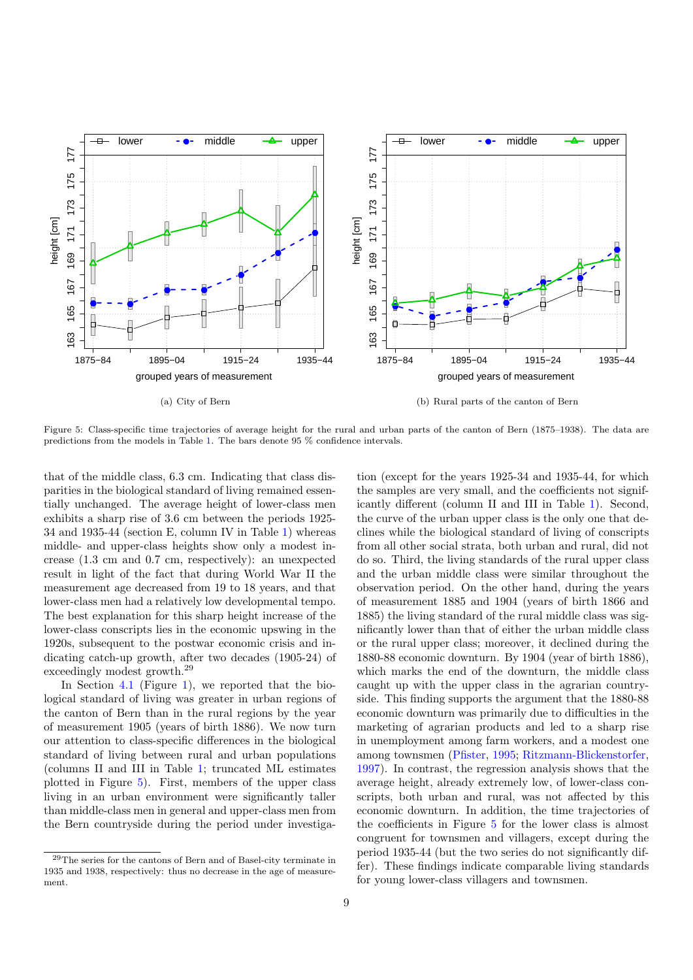

<span id="page-8-0"></span>Figure 5: Class-specific time trajectories of average height for the rural and urban parts of the canton of Bern (1875–1938). The data are predictions from the models in Table [1.](#page-7-0) The bars denote 95 % confidence intervals.

that of the middle class, 6.3 cm. Indicating that class disparities in the biological standard of living remained essentially unchanged. The average height of lower-class men exhibits a sharp rise of 3.6 cm between the periods 1925- 34 and 1935-44 (section E, column IV in Table [1\)](#page-7-0) whereas middle- and upper-class heights show only a modest increase (1.3 cm and 0.7 cm, respectively): an unexpected result in light of the fact that during World War II the measurement age decreased from 19 to 18 years, and that lower-class men had a relatively low developmental tempo. The best explanation for this sharp height increase of the lower-class conscripts lies in the economic upswing in the 1920s, subsequent to the postwar economic crisis and indicating catch-up growth, after two decades (1905-24) of exceedingly modest growth.<sup>29</sup>

In Section [4.1](#page-4-2) (Figure [1\)](#page-4-0), we reported that the biological standard of living was greater in urban regions of the canton of Bern than in the rural regions by the year of measurement 1905 (years of birth 1886). We now turn our attention to class-specific differences in the biological standard of living between rural and urban populations (columns II and III in Table [1;](#page-7-0) truncated ML estimates plotted in Figure [5\)](#page-8-0). First, members of the upper class living in an urban environment were significantly taller than middle-class men in general and upper-class men from the Bern countryside during the period under investiga-

tion (except for the years 1925-34 and 1935-44, for which the samples are very small, and the coefficients not significantly different (column II and III in Table [1\)](#page-7-0). Second, the curve of the urban upper class is the only one that declines while the biological standard of living of conscripts from all other social strata, both urban and rural, did not do so. Third, the living standards of the rural upper class and the urban middle class were similar throughout the observation period. On the other hand, during the years of measurement 1885 and 1904 (years of birth 1866 and 1885) the living standard of the rural middle class was significantly lower than that of either the urban middle class or the rural upper class; moreover, it declined during the 1880-88 economic downturn. By 1904 (year of birth 1886), which marks the end of the downturn, the middle class caught up with the upper class in the agrarian countryside. This finding supports the argument that the 1880-88 economic downturn was primarily due to difficulties in the marketing of agrarian products and led to a sharp rise in unemployment among farm workers, and a modest one among townsmen [\(Pfister,](#page-20-22) [1995;](#page-20-22) [Ritzmann-Blickenstorfer,](#page-21-20) [1997\)](#page-21-20). In contrast, the regression analysis shows that the average height, already extremely low, of lower-class conscripts, both urban and rural, was not affected by this economic downturn. In addition, the time trajectories of the coefficients in Figure [5](#page-8-0) for the lower class is almost congruent for townsmen and villagers, except during the period 1935-44 (but the two series do not significantly differ). These findings indicate comparable living standards for young lower-class villagers and townsmen.

<sup>29</sup>The series for the cantons of Bern and of Basel-city terminate in 1935 and 1938, respectively: thus no decrease in the age of measurement.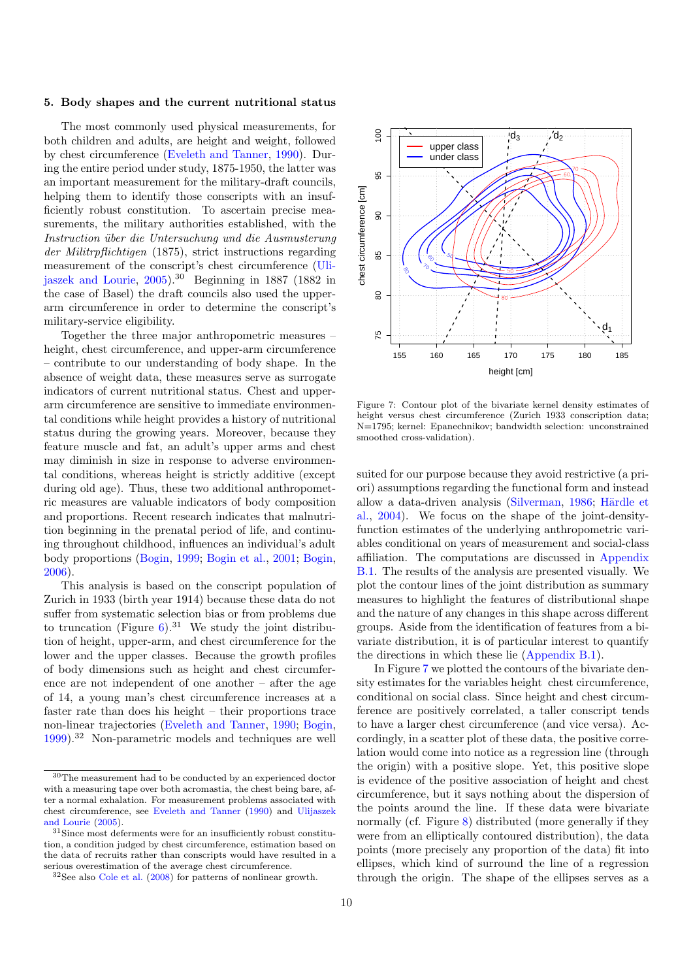#### <span id="page-9-0"></span>5. Body shapes and the current nutritional status

The most commonly used physical measurements, for both children and adults, are height and weight, followed by chest circumference [\(Eveleth and Tanner,](#page-20-3) [1990\)](#page-20-3). During the entire period under study, 1875-1950, the latter was an important measurement for the military-draft councils, helping them to identify those conscripts with an insufficiently robust constitution. To ascertain precise measurements, the military authorities established, with the Instruction über die Untersuchung und die Ausmusterung der Militrpflichtigen (1875), strict instructions regarding measurement of the conscript's chest circumference [\(Uli](#page-21-23)[jaszek and Lourie,](#page-21-23)  $2005$ ).<sup>30</sup> Beginning in 1887 (1882 in the case of Basel) the draft councils also used the upperarm circumference in order to determine the conscript's military-service eligibility.

Together the three major anthropometric measures – height, chest circumference, and upper-arm circumference – contribute to our understanding of body shape. In the absence of weight data, these measures serve as surrogate indicators of current nutritional status. Chest and upperarm circumference are sensitive to immediate environmental conditions while height provides a history of nutritional status during the growing years. Moreover, because they feature muscle and fat, an adult's upper arms and chest may diminish in size in response to adverse environmental conditions, whereas height is strictly additive (except during old age). Thus, these two additional anthropometric measures are valuable indicators of body composition and proportions. Recent research indicates that malnutrition beginning in the prenatal period of life, and continuing throughout childhood, influences an individual's adult body proportions [\(Bogin,](#page-19-0) [1999;](#page-19-0) [Bogin et al.,](#page-19-10) [2001;](#page-19-10) [Bogin,](#page-19-11) [2006\)](#page-19-11).

This analysis is based on the conscript population of Zurich in 1933 (birth year 1914) because these data do not suffer from systematic selection bias or from problems due to truncation (Figure  $6$ ).<sup>31</sup> We study the joint distribution of height, upper-arm, and chest circumference for the lower and the upper classes. Because the growth profiles of body dimensions such as height and chest circumference are not independent of one another – after the age of 14, a young man's chest circumference increases at a faster rate than does his height – their proportions trace non-linear trajectories [\(Eveleth and Tanner,](#page-20-3) [1990;](#page-20-3) [Bogin,](#page-19-0) [1999\)](#page-19-0).<sup>32</sup> Non-parametric models and techniques are well



<span id="page-9-1"></span>Figure 7: Contour plot of the bivariate kernel density estimates of height versus chest circumference (Zurich 1933 conscription data; N=1795; kernel: Epanechnikov; bandwidth selection: unconstrained smoothed cross-validation).

suited for our purpose because they avoid restrictive (a priori) assumptions regarding the functional form and instead allow a data-driven analysis [\(Silverman,](#page-21-24) [1986;](#page-21-24) Härdle et [al.,](#page-20-35) [2004\)](#page-20-35). We focus on the shape of the joint-densityfunction estimates of the underlying anthropometric variables conditional on years of measurement and social-class affiliation. The computations are discussed in [Appendix](#page-18-0) [B.1.](#page-18-0) The results of the analysis are presented visually. We plot the contour lines of the joint distribution as summary measures to highlight the features of distributional shape and the nature of any changes in this shape across different groups. Aside from the identification of features from a bivariate distribution, it is of particular interest to quantify the directions in which these lie [\(Appendix B.1\)](#page-18-0).

In Figure [7](#page-9-1) we plotted the contours of the bivariate density estimates for the variables height chest circumference, conditional on social class. Since height and chest circumference are positively correlated, a taller conscript tends to have a larger chest circumference (and vice versa). Accordingly, in a scatter plot of these data, the positive correlation would come into notice as a regression line (through the origin) with a positive slope. Yet, this positive slope is evidence of the positive association of height and chest circumference, but it says nothing about the dispersion of the points around the line. If these data were bivariate normally (cf. Figure [8\)](#page-10-1) distributed (more generally if they were from an elliptically contoured distribution), the data points (more precisely any proportion of the data) fit into ellipses, which kind of surround the line of a regression through the origin. The shape of the ellipses serves as a

<sup>30</sup>The measurement had to be conducted by an experienced doctor with a measuring tape over both acromastia, the chest being bare, after a normal exhalation. For measurement problems associated with chest circumference, see [Eveleth and Tanner](#page-20-3) [\(1990\)](#page-20-3) and [Ulijaszek](#page-21-23) [and Lourie](#page-21-23) [\(2005\)](#page-21-23).

<sup>31</sup>Since most deferments were for an insufficiently robust constitution, a condition judged by chest circumference, estimation based on the data of recruits rather than conscripts would have resulted in a serious overestimation of the average chest circumference.

<sup>32</sup>See also [Cole et al.](#page-19-12) [\(2008\)](#page-19-12) for patterns of nonlinear growth.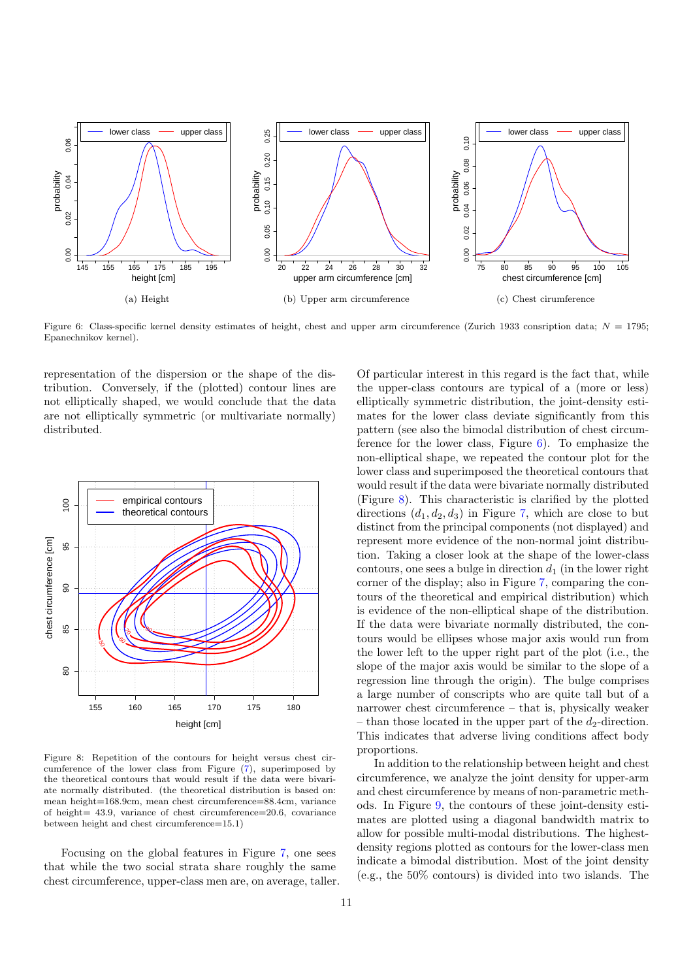

<span id="page-10-0"></span>Figure 6: Class-specific kernel density estimates of height, chest and upper arm circumference (Zurich 1933 consription data;  $N = 1795$ ; Epanechnikov kernel).

representation of the dispersion or the shape of the distribution. Conversely, if the (plotted) contour lines are not elliptically shaped, we would conclude that the data are not elliptically symmetric (or multivariate normally) distributed.



<span id="page-10-1"></span>Figure 8: Repetition of the contours for height versus chest circumference of the lower class from Figure [\(7\)](#page-9-1), superimposed by the theoretical contours that would result if the data were bivariate normally distributed. (the theoretical distribution is based on: mean height=168.9cm, mean chest circumference=88.4cm, variance of height= 43.9, variance of chest circumference=20.6, covariance between height and chest circumference=15.1)

Focusing on the global features in Figure [7,](#page-9-1) one sees that while the two social strata share roughly the same chest circumference, upper-class men are, on average, taller.

Of particular interest in this regard is the fact that, while the upper-class contours are typical of a (more or less) elliptically symmetric distribution, the joint-density estimates for the lower class deviate significantly from this pattern (see also the bimodal distribution of chest circumference for the lower class, Figure [6\)](#page-10-0). To emphasize the non-elliptical shape, we repeated the contour plot for the lower class and superimposed the theoretical contours that would result if the data were bivariate normally distributed (Figure [8\)](#page-10-1). This characteristic is clarified by the plotted directions  $(d_1, d_2, d_3)$  in Figure [7,](#page-9-1) which are close to but distinct from the principal components (not displayed) and represent more evidence of the non-normal joint distribution. Taking a closer look at the shape of the lower-class contours, one sees a bulge in direction  $d_1$  (in the lower right corner of the display; also in Figure [7,](#page-9-1) comparing the contours of the theoretical and empirical distribution) which is evidence of the non-elliptical shape of the distribution. If the data were bivariate normally distributed, the contours would be ellipses whose major axis would run from the lower left to the upper right part of the plot (i.e., the slope of the major axis would be similar to the slope of a regression line through the origin). The bulge comprises a large number of conscripts who are quite tall but of a narrower chest circumference – that is, physically weaker – than those located in the upper part of the  $d_2$ -direction. This indicates that adverse living conditions affect body proportions.

In addition to the relationship between height and chest circumference, we analyze the joint density for upper-arm and chest circumference by means of non-parametric methods. In Figure [9,](#page-11-0) the contours of these joint-density estimates are plotted using a diagonal bandwidth matrix to allow for possible multi-modal distributions. The highestdensity regions plotted as contours for the lower-class men indicate a bimodal distribution. Most of the joint density (e.g., the 50% contours) is divided into two islands. The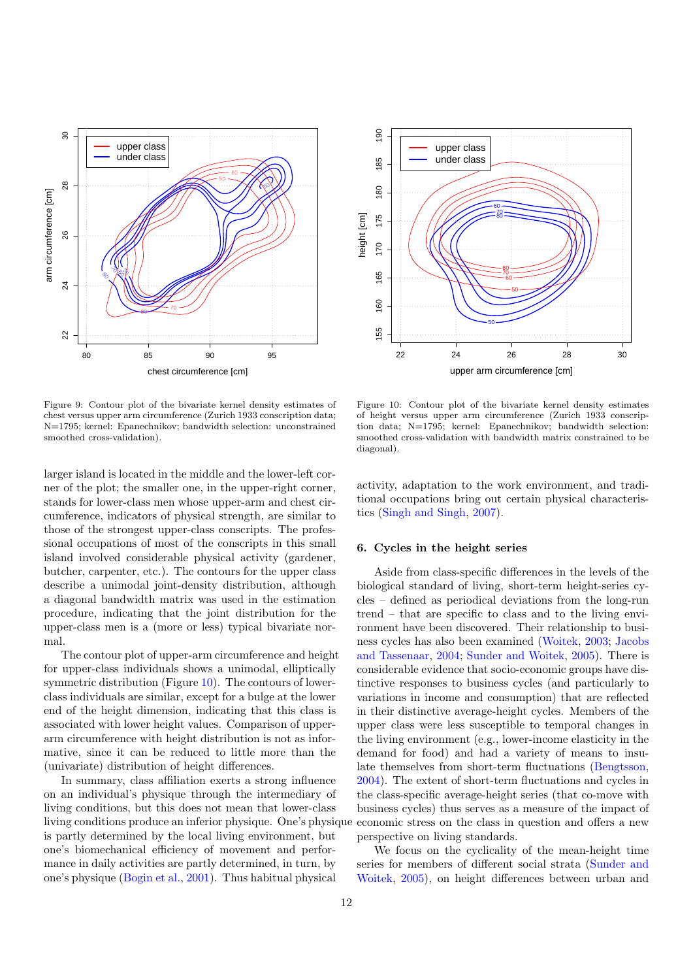

<span id="page-11-0"></span>Figure 9: Contour plot of the bivariate kernel density estimates of chest versus upper arm circumference (Zurich 1933 conscription data; N=1795; kernel: Epanechnikov; bandwidth selection: unconstrained smoothed cross-validation).

larger island is located in the middle and the lower-left corner of the plot; the smaller one, in the upper-right corner, stands for lower-class men whose upper-arm and chest circumference, indicators of physical strength, are similar to those of the strongest upper-class conscripts. The professional occupations of most of the conscripts in this small island involved considerable physical activity (gardener, butcher, carpenter, etc.). The contours for the upper class describe a unimodal joint-density distribution, although a diagonal bandwidth matrix was used in the estimation procedure, indicating that the joint distribution for the upper-class men is a (more or less) typical bivariate normal.

The contour plot of upper-arm circumference and height for upper-class individuals shows a unimodal, elliptically symmetric distribution (Figure [10\)](#page-11-1). The contours of lowerclass individuals are similar, except for a bulge at the lower end of the height dimension, indicating that this class is associated with lower height values. Comparison of upperarm circumference with height distribution is not as informative, since it can be reduced to little more than the (univariate) distribution of height differences.

In summary, class affiliation exerts a strong influence on an individual's physique through the intermediary of living conditions, but this does not mean that lower-class living conditions produce an inferior physique. One's physique is partly determined by the local living environment, but one's biomechanical efficiency of movement and performance in daily activities are partly determined, in turn, by one's physique [\(Bogin et al.,](#page-19-10) [2001\)](#page-19-10). Thus habitual physical



<span id="page-11-1"></span>Figure 10: Contour plot of the bivariate kernel density estimates of height versus upper arm circumference (Zurich 1933 conscription data; N=1795; kernel: Epanechnikov; bandwidth selection: smoothed cross-validation with bandwidth matrix constrained to be diagonal).

activity, adaptation to the work environment, and traditional occupations bring out certain physical characteristics [\(Singh and Singh,](#page-21-25) [2007\)](#page-21-25).

#### 6. Cycles in the height series

Aside from class-specific differences in the levels of the biological standard of living, short-term height-series cycles – defined as periodical deviations from the long-run trend – that are specific to class and to the living environment have been discovered. Their relationship to business cycles has also been examined [\(Woitek,](#page-21-3) [2003;](#page-21-3) [Jacobs](#page-20-36) [and Tassenaar,](#page-20-36) [2004;](#page-20-36) [Sunder and Woitek,](#page-21-4) [2005\)](#page-21-4). There is considerable evidence that socio-economic groups have distinctive responses to business cycles (and particularly to variations in income and consumption) that are reflected in their distinctive average-height cycles. Members of the upper class were less susceptible to temporal changes in the living environment (e.g., lower-income elasticity in the demand for food) and had a variety of means to insulate themselves from short-term fluctuations [\(Bengtsson,](#page-19-2) [2004\)](#page-19-2). The extent of short-term fluctuations and cycles in the class-specific average-height series (that co-move with business cycles) thus serves as a measure of the impact of economic stress on the class in question and offers a new perspective on living standards.

We focus on the cyclicality of the mean-height time series for members of different social strata [\(Sunder and](#page-21-4) [Woitek,](#page-21-4) [2005\)](#page-21-4), on height differences between urban and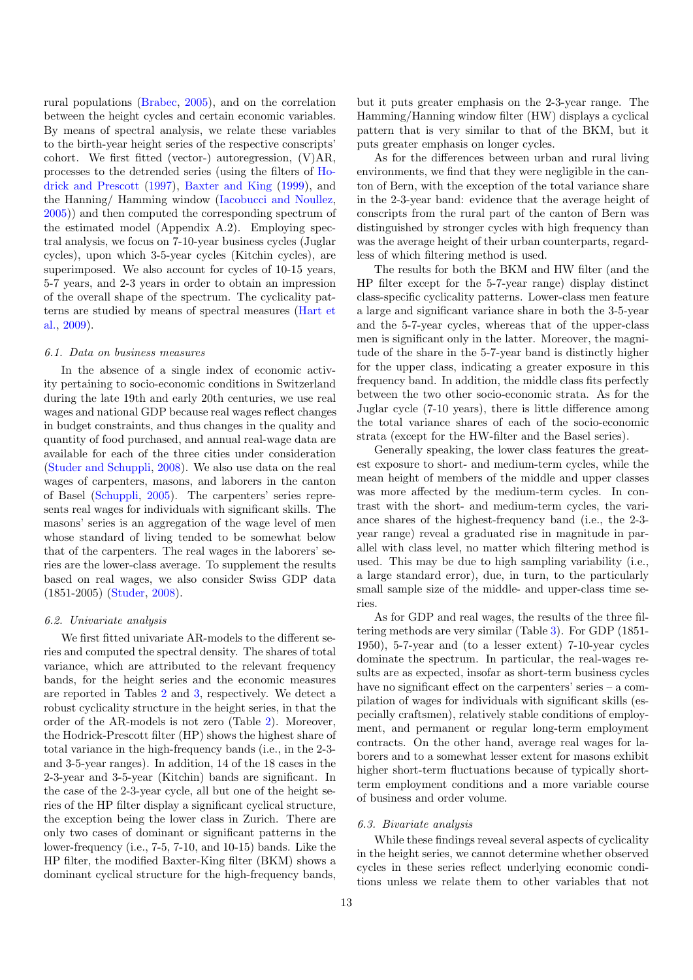rural populations [\(Brabec,](#page-19-1) [2005\)](#page-19-1), and on the correlation between the height cycles and certain economic variables. By means of spectral analysis, we relate these variables to the birth-year height series of the respective conscripts' cohort. We first fitted (vector-) autoregression, (V)AR, processes to the detrended series (using the filters of [Ho](#page-20-37)[drick and Prescott](#page-20-37) [\(1997\)](#page-20-37), [Baxter and King](#page-19-13) [\(1999\)](#page-19-13), and the Hanning/ Hamming window [\(Iacobucci and Noullez,](#page-20-38) [2005\)](#page-20-38)) and then computed the corresponding spectrum of the estimated model (Appendix A.2). Employing spectral analysis, we focus on 7-10-year business cycles (Juglar cycles), upon which 3-5-year cycles (Kitchin cycles), are superimposed. We also account for cycles of 10-15 years, 5-7 years, and 2-3 years in order to obtain an impression of the overall shape of the spectrum. The cyclicality patterns are studied by means of spectral measures [\(Hart et](#page-20-39) [al.,](#page-20-39) [2009\)](#page-20-39).

## 6.1. Data on business measures

In the absence of a single index of economic activity pertaining to socio-economic conditions in Switzerland during the late 19th and early 20th centuries, we use real wages and national GDP because real wages reflect changes in budget constraints, and thus changes in the quality and quantity of food purchased, and annual real-wage data are available for each of the three cities under consideration [\(Studer and Schuppli,](#page-21-18) [2008\)](#page-21-18). We also use data on the real wages of carpenters, masons, and laborers in the canton of Basel [\(Schuppli,](#page-21-26) [2005\)](#page-21-26). The carpenters' series represents real wages for individuals with significant skills. The masons' series is an aggregation of the wage level of men whose standard of living tended to be somewhat below that of the carpenters. The real wages in the laborers' series are the lower-class average. To supplement the results based on real wages, we also consider Swiss GDP data (1851-2005) [\(Studer,](#page-21-17) [2008\)](#page-21-17).

# 6.2. Univariate analysis

We first fitted univariate AR-models to the different series and computed the spectral density. The shares of total variance, which are attributed to the relevant frequency bands, for the height series and the economic measures are reported in Tables [2](#page-13-0) and [3,](#page-13-1) respectively. We detect a robust cyclicality structure in the height series, in that the order of the AR-models is not zero (Table [2\)](#page-13-0). Moreover, the Hodrick-Prescott filter (HP) shows the highest share of total variance in the high-frequency bands (i.e., in the 2-3 and 3-5-year ranges). In addition, 14 of the 18 cases in the 2-3-year and 3-5-year (Kitchin) bands are significant. In the case of the 2-3-year cycle, all but one of the height series of the HP filter display a significant cyclical structure, the exception being the lower class in Zurich. There are only two cases of dominant or significant patterns in the lower-frequency (i.e., 7-5, 7-10, and 10-15) bands. Like the HP filter, the modified Baxter-King filter (BKM) shows a dominant cyclical structure for the high-frequency bands,

but it puts greater emphasis on the 2-3-year range. The Hamming/Hanning window filter (HW) displays a cyclical pattern that is very similar to that of the BKM, but it puts greater emphasis on longer cycles.

As for the differences between urban and rural living environments, we find that they were negligible in the canton of Bern, with the exception of the total variance share in the 2-3-year band: evidence that the average height of conscripts from the rural part of the canton of Bern was distinguished by stronger cycles with high frequency than was the average height of their urban counterparts, regardless of which filtering method is used.

The results for both the BKM and HW filter (and the HP filter except for the 5-7-year range) display distinct class-specific cyclicality patterns. Lower-class men feature a large and significant variance share in both the 3-5-year and the 5-7-year cycles, whereas that of the upper-class men is significant only in the latter. Moreover, the magnitude of the share in the 5-7-year band is distinctly higher for the upper class, indicating a greater exposure in this frequency band. In addition, the middle class fits perfectly between the two other socio-economic strata. As for the Juglar cycle (7-10 years), there is little difference among the total variance shares of each of the socio-economic strata (except for the HW-filter and the Basel series).

Generally speaking, the lower class features the greatest exposure to short- and medium-term cycles, while the mean height of members of the middle and upper classes was more affected by the medium-term cycles. In contrast with the short- and medium-term cycles, the variance shares of the highest-frequency band (i.e., the 2-3 year range) reveal a graduated rise in magnitude in parallel with class level, no matter which filtering method is used. This may be due to high sampling variability (i.e., a large standard error), due, in turn, to the particularly small sample size of the middle- and upper-class time series.

As for GDP and real wages, the results of the three filtering methods are very similar (Table [3\)](#page-13-1). For GDP (1851- 1950), 5-7-year and (to a lesser extent) 7-10-year cycles dominate the spectrum. In particular, the real-wages results are as expected, insofar as short-term business cycles have no significant effect on the carpenters' series – a compilation of wages for individuals with significant skills (especially craftsmen), relatively stable conditions of employment, and permanent or regular long-term employment contracts. On the other hand, average real wages for laborers and to a somewhat lesser extent for masons exhibit higher short-term fluctuations because of typically shortterm employment conditions and a more variable course of business and order volume.

# 6.3. Bivariate analysis

While these findings reveal several aspects of cyclicality in the height series, we cannot determine whether observed cycles in these series reflect underlying economic conditions unless we relate them to other variables that not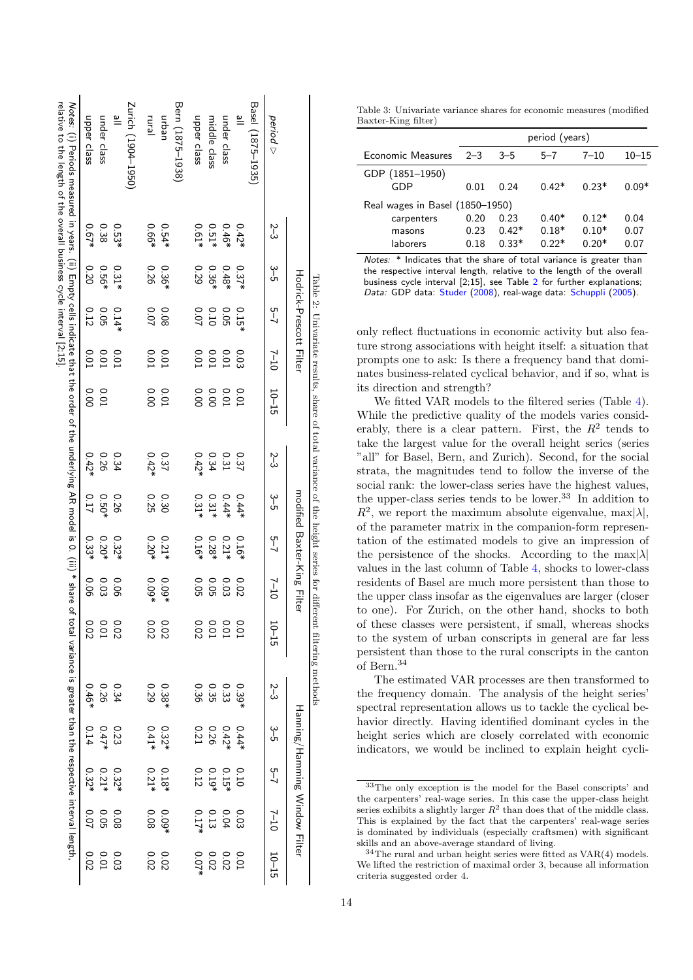<span id="page-13-0"></span>

|                                                                                                                                                                                                                                                                                                       |         |          |                         |                     | Table 2: Unitariative the property of the parameter of the head of the beging state of the second of the product of the parameter of the parameter of the parameter of the second of $\frac{1}{2}$ |         |         |                             |              | int filtering methods |                                                                |         |                               |                   |                  |
|-------------------------------------------------------------------------------------------------------------------------------------------------------------------------------------------------------------------------------------------------------------------------------------------------------|---------|----------|-------------------------|---------------------|----------------------------------------------------------------------------------------------------------------------------------------------------------------------------------------------------|---------|---------|-----------------------------|--------------|-----------------------|----------------------------------------------------------------|---------|-------------------------------|-------------------|------------------|
|                                                                                                                                                                                                                                                                                                       |         |          | Hodrick-Prescott Filter |                     |                                                                                                                                                                                                    |         |         | modified Baxter-King Filter |              |                       |                                                                |         | Hanning/Hamming Window Filter |                   |                  |
| period $\rhd$                                                                                                                                                                                                                                                                                         | م<br>م  | ىب<br>لى | $\frac{5}{7}$           | $7 - 10$            | $10 - 15$                                                                                                                                                                                          | 23      | ن<br>5  | $\frac{5}{7}$               | $-10$        | $10 - 15$             | 23                                                             | ن<br>س  | ام<br>س                       | $1 - 10$          | $10 - 15$        |
| Basel (1875-1935)                                                                                                                                                                                                                                                                                     |         |          |                         |                     |                                                                                                                                                                                                    |         |         |                             |              |                       |                                                                |         |                               |                   |                  |
| $\stackrel{\omega}{=}$                                                                                                                                                                                                                                                                                | $0.42*$ | 0.37*    | $0.15*$                 | 0.03                | <b>D.O1</b>                                                                                                                                                                                        | 0.37    | $0.44*$ | 0.16*                       | 0.02         | 10.01                 | $0.39*$                                                        | $0.44*$ | 0.10                          | 0.03              |                  |
| under class                                                                                                                                                                                                                                                                                           | $0.46*$ | $0.48*$  | 0.05                    |                     | 0.01                                                                                                                                                                                               | 0.31    | $0.44*$ | 0.21*                       | 0.03         | <b>D.O1</b>           | 0.33                                                           | $0.42*$ | $0.15*$                       |                   |                  |
| middle class                                                                                                                                                                                                                                                                                          | $0.51*$ | $0.36*$  |                         | 0<br>0 0 0<br>0 0 0 | 0.00                                                                                                                                                                                               | 0.34    | $0.31*$ | $0.28*$                     |              | <b>D.O1</b>           | 0.35                                                           | 0.26    | $0.19*$                       | 0.04              | $0.01$<br>$0.02$ |
| upper class                                                                                                                                                                                                                                                                                           | $0.61*$ | 0.29     | 0.07<br>0.07            |                     | 0.00                                                                                                                                                                                               | $0.42*$ | $0.31*$ | $0.16*$                     | 0.05<br>0.05 | 0.02                  | 0.36                                                           | 0.21    | 0.12                          | $0.17*$           | $0.07*$          |
| Bern (1875-1938)                                                                                                                                                                                                                                                                                      |         |          |                         |                     |                                                                                                                                                                                                    |         |         |                             |              |                       |                                                                |         |                               |                   |                  |
| urpgun                                                                                                                                                                                                                                                                                                | $0.54*$ | $0.36*$  | 80.0                    | 0.01                | 10.01                                                                                                                                                                                              | 737     | 0.30    | $0.21*$                     | $0.09*$      | 200                   | $0.38*$                                                        | $0.32*$ | $0.18*$                       | $0.09*$           | 0.02             |
| Fural                                                                                                                                                                                                                                                                                                 | $0.66*$ | 0.26     | 0.07                    | 0.01                | 0.00                                                                                                                                                                                               | $0.42*$ | 0.25    | $0.20*$                     | $0.09*$      | 200                   | 0.29                                                           | $0.41*$ | $0.21*$                       | 0.08              | 0.02             |
| Zurich (1904-1950)                                                                                                                                                                                                                                                                                    |         |          |                         |                     |                                                                                                                                                                                                    |         |         |                             |              |                       |                                                                |         |                               |                   |                  |
| $\stackrel{\omega}{=}$                                                                                                                                                                                                                                                                                | $0.53*$ | $0.31*$  | $0.14*$                 | 0.01                |                                                                                                                                                                                                    | 0.34    | 0.26    | $0.32*$                     | 90.06        | 0.02                  | 0.34                                                           | 0.23    | $0.32*$                       | 80.0              | 0.03             |
| under class                                                                                                                                                                                                                                                                                           | 0.38    | 0.56*    | G.O5                    | 0.01                | <b>D.O1</b>                                                                                                                                                                                        | 0.26    | $0.50*$ | $0.20*$                     | 0.03         | <b>D.O1</b>           | 0.26                                                           | $0.47*$ | $0.21*$                       | GO <sup>-</sup> 0 | 0.01             |
| upper class                                                                                                                                                                                                                                                                                           | $0.67*$ | 0.20     | 0.12                    | 0.01                | 0.00                                                                                                                                                                                               | $0.42*$ | 117     | $0.33*$                     | 0.06         | 0.02                  | $0.46*$                                                        | 0.14    | $0.32*$                       | 0.07              | 0.02             |
| relative to the length of the overall business cycle interval [2;15].<br>Notes:), "iii) * shaved measured in the share of the share that the order of the unique of the mand of the share of the share of the share of the math share of the math share of the share of the share of the share of the |         |          |                         |                     |                                                                                                                                                                                                    |         |         |                             |              |                       | total variance is greater than the respective interval length, |         |                               |                   |                  |
|                                                                                                                                                                                                                                                                                                       |         |          |                         |                     |                                                                                                                                                                                                    |         |         |                             |              |                       |                                                                |         |                               |                   |                  |

<span id="page-13-1"></span>Table 3: Univariate variance shares for economic measures (modified Baxter-King filter)

|                                 |         |         | period (years) |          |           |
|---------------------------------|---------|---------|----------------|----------|-----------|
| Economic Measures               | $2 - 3$ | $3 - 5$ | $5 - 7$        | $7 - 10$ | $10 - 15$ |
| GDP (1851-1950)                 |         |         |                |          |           |
| GDP                             | 0.01    | 0.24    | $0.42*$        | $0.23*$  | $0.09*$   |
| Real wages in Basel (1850-1950) |         |         |                |          |           |
| carpenters                      | 0.20    | 0.23    | $0.40*$        | $0.12*$  | 0.04      |
| masons                          | 0.23    | $0.42*$ | $0.18*$        | $0.10*$  | 0.07      |
| laborers                        | 0.18    | $0.33*$ | በ 22*          | $0.20*$  | 0.07      |

Notes: \* Indicates that the share of total variance is greater than the respective interval length, relative to the length of the overall business cycle interval [2;15], see Table [2](#page-13-0) for further explanations; Data: GDP data: [Studer](#page-21-17) [\(2008\)](#page-21-17), real-wage data: [Schuppli](#page-21-26) [\(2005\)](#page-21-26).

only reflect fluctuations in economic activity but also feature strong associations with height itself: a situation that prompts one to ask: Is there a frequency band that dominates business-related cyclical behavior, and if so, what is its direction and strength?

We fitted VAR models to the filtered series (Table [4\)](#page-14-0). While the predictive quality of the models varies considerably, there is a clear pattern. First, the  $R^2$  tends to take the largest value for the overall height series (series "all" for Basel, Bern, and Zurich). Second, for the social strata, the magnitudes tend to follow the inverse of the social rank: the lower-class series have the highest values, the upper-class series tends to be lower.<sup>33</sup> In addition to  $R^2$ , we report the maximum absolute eigenvalue, max $|\lambda|$ , of the parameter matrix in the companion-form representation of the estimated models to give an impression of the persistence of the shocks. According to the  $\max|\lambda|$ values in the last column of Table [4,](#page-14-0) shocks to lower-class residents of Basel are much more persistent than those to the upper class insofar as the eigenvalues are larger (closer to one). For Zurich, on the other hand, shocks to both of these classes were persistent, if small, whereas shocks to the system of urban conscripts in general are far less persistent than those to the rural conscripts in the canton of Bern.<sup>34</sup>

The estimated VAR processes are then transformed to the frequency domain. The analysis of the height series' spectral representation allows us to tackle the cyclical behavior directly. Having identified dominant cycles in the height series which are closely correlated with economic indicators, we would be inclined to explain height cycli-

<sup>33</sup>The only exception is the model for the Basel conscripts' and the carpenters' real-wage series. In this case the upper-class height series exhibits a slightly larger  $R^2$  than does that of the middle class. This is explained by the fact that the carpenters' real-wage series is dominated by individuals (especially craftsmen) with significant skills and an above-average standard of living.

 $34$ The rural and urban height series were fitted as VAR(4) models. We lifted the restriction of maximal order 3, because all information criteria suggested order 4.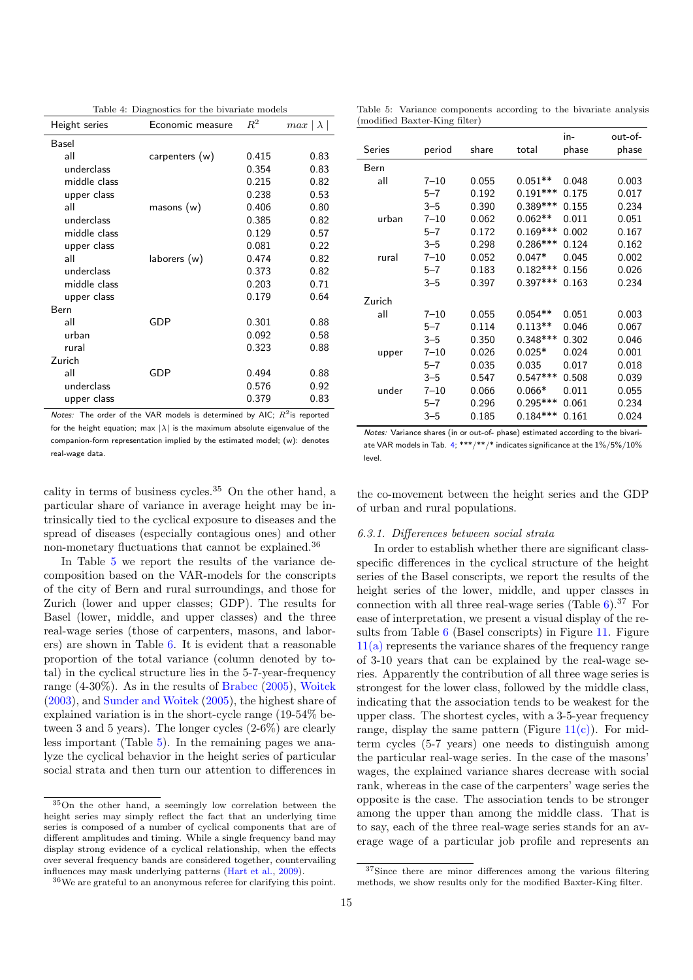<span id="page-14-0"></span>

| Table 4. Diagnostics for the bivariate models |  |
|-----------------------------------------------|--|
|-----------------------------------------------|--|

| Height series | Economic measure | $\,R^2$ | $max  \lambda $ |
|---------------|------------------|---------|-----------------|
| Basel         |                  |         |                 |
| all           | carpenters $(w)$ | 0.415   | 0.83            |
| underclass    |                  | 0.354   | 0.83            |
| middle class  |                  | 0.215   | 0.82            |
| upper class   |                  | 0.238   | 0.53            |
| all           | masons $(w)$     | 0.406   | 0.80            |
| underclass    |                  | 0.385   | 0.82            |
| middle class  |                  | 0.129   | 0.57            |
| upper class   |                  | 0.081   | 0.22            |
| all           | laborers (w)     | 0.474   | 0.82            |
| underclass    |                  | 0.373   | 0.82            |
| middle class  |                  | 0.203   | 0.71            |
| upper class   |                  | 0.179   | 0.64            |
| Bern          |                  |         |                 |
| all           | GDP              | 0.301   | 0.88            |
| urban         |                  | 0.092   | 0.58            |
| rural         |                  | 0.323   | 0.88            |
| Zurich        |                  |         |                 |
| all           | GDP              | 0.494   | 0.88            |
| underclass    |                  | 0.576   | 0.92            |
| upper class   |                  | 0.379   | 0.83            |

Notes: The order of the VAR models is determined by AIC;  $R^2$ is reported for the height equation; max  $|\lambda|$  is the maximum absolute eigenvalue of the companion-form representation implied by the estimated model; (w): denotes real-wage data.

cality in terms of business cycles.<sup>35</sup> On the other hand, a particular share of variance in average height may be intrinsically tied to the cyclical exposure to diseases and the spread of diseases (especially contagious ones) and other non-monetary fluctuations that cannot be explained.<sup>36</sup>

In Table [5](#page-14-1) we report the results of the variance decomposition based on the VAR-models for the conscripts of the city of Bern and rural surroundings, and those for Zurich (lower and upper classes; GDP). The results for Basel (lower, middle, and upper classes) and the three real-wage series (those of carpenters, masons, and laborers) are shown in Table [6.](#page-17-0) It is evident that a reasonable proportion of the total variance (column denoted by total) in the cyclical structure lies in the 5-7-year-frequency range (4-30%). As in the results of [Brabec](#page-19-1) [\(2005\)](#page-19-1), [Woitek](#page-21-3) [\(2003\)](#page-21-3), and [Sunder and Woitek](#page-21-4) [\(2005\)](#page-21-4), the highest share of explained variation is in the short-cycle range (19-54% between 3 and 5 years). The longer cycles (2-6%) are clearly less important (Table [5\)](#page-14-1). In the remaining pages we analyze the cyclical behavior in the height series of particular social strata and then turn our attention to differences in

<span id="page-14-1"></span>Table 5: Variance components according to the bivariate analysis (modified Baxter-King filter)

|               |          |       |            | in-   | out-of- |
|---------------|----------|-------|------------|-------|---------|
| <b>Series</b> | period   | share | total      | phase | phase   |
| Bern          |          |       |            |       |         |
| all           | $7 - 10$ | 0.055 | $0.051**$  | 0.048 | 0.003   |
|               | $5 - 7$  | 0.192 | $0.191***$ | 0.175 | 0.017   |
|               | $3 - 5$  | 0.390 | 0.389***   | 0.155 | 0.234   |
| urban         | $7 - 10$ | 0.062 | $0.062**$  | 0.011 | 0.051   |
|               | $5 - 7$  | 0.172 | $0.169***$ | 0.002 | 0.167   |
|               | $3 - 5$  | 0.298 | $0.286***$ | 0.124 | 0.162   |
| rural         | $7 - 10$ | 0.052 | $0.047*$   | 0.045 | 0.002   |
|               | $5 - 7$  | 0.183 | $0.182***$ | 0.156 | 0.026   |
|               | $3 - 5$  | 0.397 | $0.397***$ | 0.163 | 0.234   |
| Zurich        |          |       |            |       |         |
| all           | $7 - 10$ | 0.055 | $0.054**$  | 0.051 | 0.003   |
|               | $5 - 7$  | 0.114 | $0.113**$  | 0.046 | 0.067   |
|               | $3 - 5$  | 0.350 | $0.348***$ | 0.302 | 0.046   |
| upper         | $7 - 10$ | 0.026 | $0.025*$   | 0.024 | 0.001   |
|               | $5 - 7$  | 0.035 | 0.035      | 0.017 | 0.018   |
|               | $3 - 5$  | 0.547 | $0.547***$ | 0.508 | 0.039   |
| under         | $7 - 10$ | 0.066 | $0.066*$   | 0.011 | 0.055   |
|               | $5 - 7$  | 0.296 | $0.295***$ | 0.061 | 0.234   |
|               | $3 - 5$  | 0.185 | $0.184***$ | 0.161 | 0.024   |

Notes: Variance shares (in or out-of- phase) estimated according to the bivari-ate VAR models in Tab. [4;](#page-14-0) \*\*\*/\*\*/\* indicates significance at the  $1\%/5\%/10\%$ level.

the co-movement between the height series and the GDP of urban and rural populations.

# 6.3.1. Differences between social strata

In order to establish whether there are significant classspecific differences in the cyclical structure of the height series of the Basel conscripts, we report the results of the height series of the lower, middle, and upper classes in connection with all three real-wage series (Table  $6$ ).<sup>37</sup> For ease of interpretation, we present a visual display of the results from Table [6](#page-17-0) (Basel conscripts) in Figure [11.](#page-16-0) Figure  $11(a)$  represents the variance shares of the frequency range of 3-10 years that can be explained by the real-wage series. Apparently the contribution of all three wage series is strongest for the lower class, followed by the middle class, indicating that the association tends to be weakest for the upper class. The shortest cycles, with a 3-5-year frequency range, display the same pattern (Figure  $11(c)$ ). For midterm cycles (5-7 years) one needs to distinguish among the particular real-wage series. In the case of the masons' wages, the explained variance shares decrease with social rank, whereas in the case of the carpenters' wage series the opposite is the case. The association tends to be stronger among the upper than among the middle class. That is to say, each of the three real-wage series stands for an average wage of a particular job profile and represents an

<sup>35</sup>On the other hand, a seemingly low correlation between the height series may simply reflect the fact that an underlying time series is composed of a number of cyclical components that are of different amplitudes and timing. While a single frequency band may display strong evidence of a cyclical relationship, when the effects over several frequency bands are considered together, countervailing influences may mask underlying patterns [\(Hart et al.,](#page-20-39) [2009\)](#page-20-39).

 $36\,\text{We}$  are grateful to an anonymous referee for clarifying this point.

<sup>37</sup>Since there are minor differences among the various filtering methods, we show results only for the modified Baxter-King filter.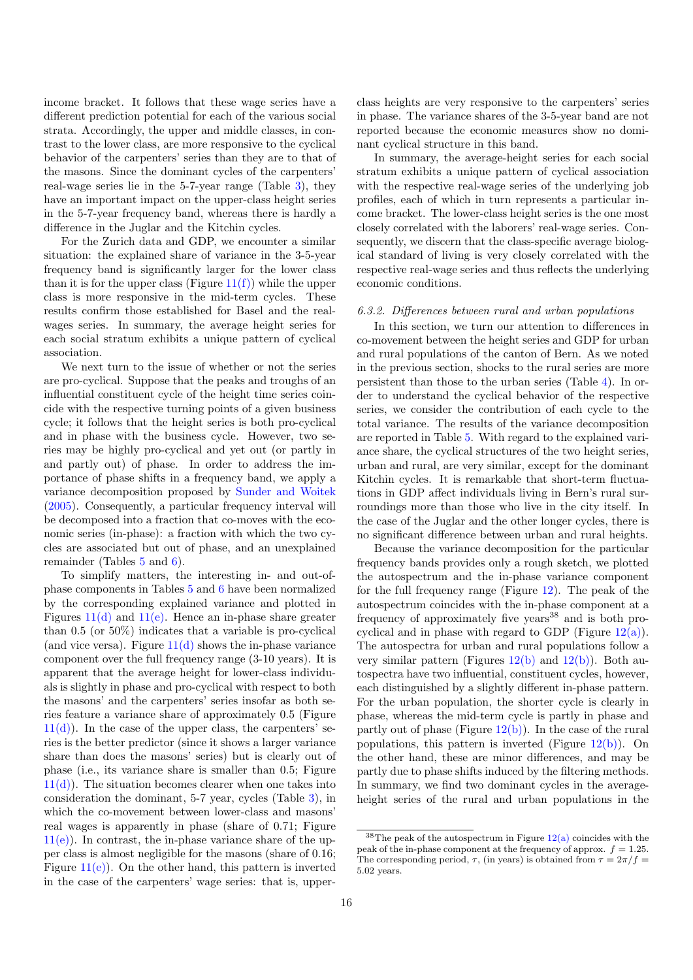income bracket. It follows that these wage series have a different prediction potential for each of the various social strata. Accordingly, the upper and middle classes, in contrast to the lower class, are more responsive to the cyclical behavior of the carpenters' series than they are to that of the masons. Since the dominant cycles of the carpenters' real-wage series lie in the 5-7-year range (Table [3\)](#page-13-1), they have an important impact on the upper-class height series in the 5-7-year frequency band, whereas there is hardly a difference in the Juglar and the Kitchin cycles.

For the Zurich data and GDP, we encounter a similar situation: the explained share of variance in the 3-5-year frequency band is significantly larger for the lower class than it is for the upper class (Figure  $11(f)$ ) while the upper class is more responsive in the mid-term cycles. These results confirm those established for Basel and the realwages series. In summary, the average height series for each social stratum exhibits a unique pattern of cyclical association.

We next turn to the issue of whether or not the series are pro-cyclical. Suppose that the peaks and troughs of an influential constituent cycle of the height time series coincide with the respective turning points of a given business cycle; it follows that the height series is both pro-cyclical and in phase with the business cycle. However, two series may be highly pro-cyclical and yet out (or partly in and partly out) of phase. In order to address the importance of phase shifts in a frequency band, we apply a variance decomposition proposed by [Sunder and Woitek](#page-21-4) [\(2005\)](#page-21-4). Consequently, a particular frequency interval will be decomposed into a fraction that co-moves with the economic series (in-phase): a fraction with which the two cycles are associated but out of phase, and an unexplained remainder (Tables [5](#page-14-1) and [6\)](#page-17-0).

To simplify matters, the interesting in- and out-ofphase components in Tables [5](#page-14-1) and [6](#page-17-0) have been normalized by the corresponding explained variance and plotted in Figures  $11(d)$  and  $11(e)$ . Hence an in-phase share greater than 0.5 (or 50%) indicates that a variable is pro-cyclical (and vice versa). Figure  $11(d)$  shows the in-phase variance component over the full frequency range (3-10 years). It is apparent that the average height for lower-class individuals is slightly in phase and pro-cyclical with respect to both the masons' and the carpenters' series insofar as both series feature a variance share of approximately 0.5 (Figure  $11(d)$ . In the case of the upper class, the carpenters' series is the better predictor (since it shows a larger variance share than does the masons' series) but is clearly out of phase (i.e., its variance share is smaller than 0.5; Figure  $11(d)$ . The situation becomes clearer when one takes into consideration the dominant, 5-7 year, cycles (Table [3\)](#page-13-1), in which the co-movement between lower-class and masons' real wages is apparently in phase (share of 0.71; Figure  $11(e)$ ). In contrast, the in-phase variance share of the upper class is almost negligible for the masons (share of 0.16; Figure  $11(e)$ ). On the other hand, this pattern is inverted in the case of the carpenters' wage series: that is, upperclass heights are very responsive to the carpenters' series in phase. The variance shares of the 3-5-year band are not reported because the economic measures show no dominant cyclical structure in this band.

In summary, the average-height series for each social stratum exhibits a unique pattern of cyclical association with the respective real-wage series of the underlying job profiles, each of which in turn represents a particular income bracket. The lower-class height series is the one most closely correlated with the laborers' real-wage series. Consequently, we discern that the class-specific average biological standard of living is very closely correlated with the respective real-wage series and thus reflects the underlying economic conditions.

# 6.3.2. Differences between rural and urban populations

In this section, we turn our attention to differences in co-movement between the height series and GDP for urban and rural populations of the canton of Bern. As we noted in the previous section, shocks to the rural series are more persistent than those to the urban series (Table [4\)](#page-14-0). In order to understand the cyclical behavior of the respective series, we consider the contribution of each cycle to the total variance. The results of the variance decomposition are reported in Table [5.](#page-14-1) With regard to the explained variance share, the cyclical structures of the two height series, urban and rural, are very similar, except for the dominant Kitchin cycles. It is remarkable that short-term fluctuations in GDP affect individuals living in Bern's rural surroundings more than those who live in the city itself. In the case of the Juglar and the other longer cycles, there is no significant difference between urban and rural heights.

Because the variance decomposition for the particular frequency bands provides only a rough sketch, we plotted the autospectrum and the in-phase variance component for the full frequency range (Figure [12\)](#page-16-6). The peak of the autospectrum coincides with the in-phase component at a frequency of approximately five years<sup>38</sup> and is both procyclical and in phase with regard to GDP (Figure  $12(a)$ ). The autospectra for urban and rural populations follow a very similar pattern (Figures  $12(b)$ ) and  $12(b)$ ). Both autospectra have two influential, constituent cycles, however, each distinguished by a slightly different in-phase pattern. For the urban population, the shorter cycle is clearly in phase, whereas the mid-term cycle is partly in phase and partly out of phase (Figure  $12(b)$ ). In the case of the rural populations, this pattern is inverted (Figure [12\(b\)\)](#page-16-8). On the other hand, these are minor differences, and may be partly due to phase shifts induced by the filtering methods. In summary, we find two dominant cycles in the averageheight series of the rural and urban populations in the

 $38$ The peak of the autospectrum in Figure  $12(a)$  coincides with the peak of the in-phase component at the frequency of approx.  $f = 1.25$ . The corresponding period,  $\tau$ , (in years) is obtained from  $\tau = 2\pi/f$ 5.02 years.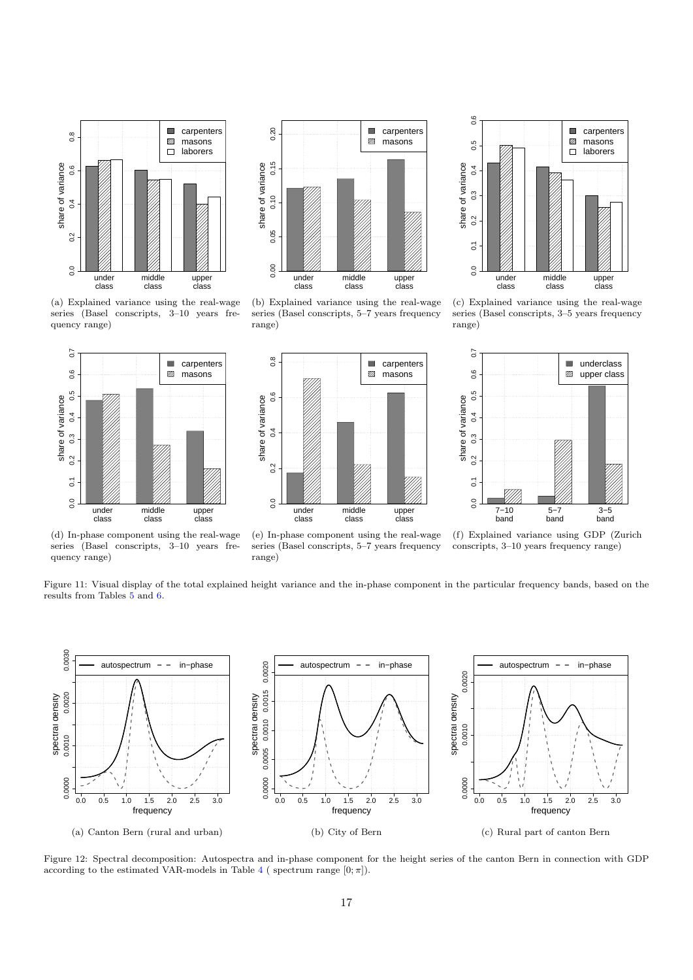<span id="page-16-1"></span>



series (Basel conscripts, 3–10 years fre-(b) Explained variance using the real-wage series (Basel conscripts, 5–7 years frequency range)



<span id="page-16-2"></span>(c) Explained variance using the real-wage series (Basel conscripts, 3–5 years frequency range)

<span id="page-16-4"></span>

quency range)





(d) In-phase component using the real-wage series (Basel conscripts, 3–10 years frequency range)

<span id="page-16-5"></span>

<span id="page-16-3"></span>(f) Explained variance using GDP (Zurich conscripts, 3–10 years frequency range)

<span id="page-16-0"></span>Figure 11: Visual display of the total explained height variance and the in-phase component in the particular frequency bands, based on the results from Tables [5](#page-14-1) and [6.](#page-17-0)

<span id="page-16-7"></span>

<span id="page-16-8"></span><span id="page-16-6"></span>Figure 12: Spectral decomposition: Autospectra and in-phase component for the height series of the canton Bern in connection with GDP according to the estimated VAR-models in Table [4](#page-14-0) ( spectrum range  $[0; \pi]$ ).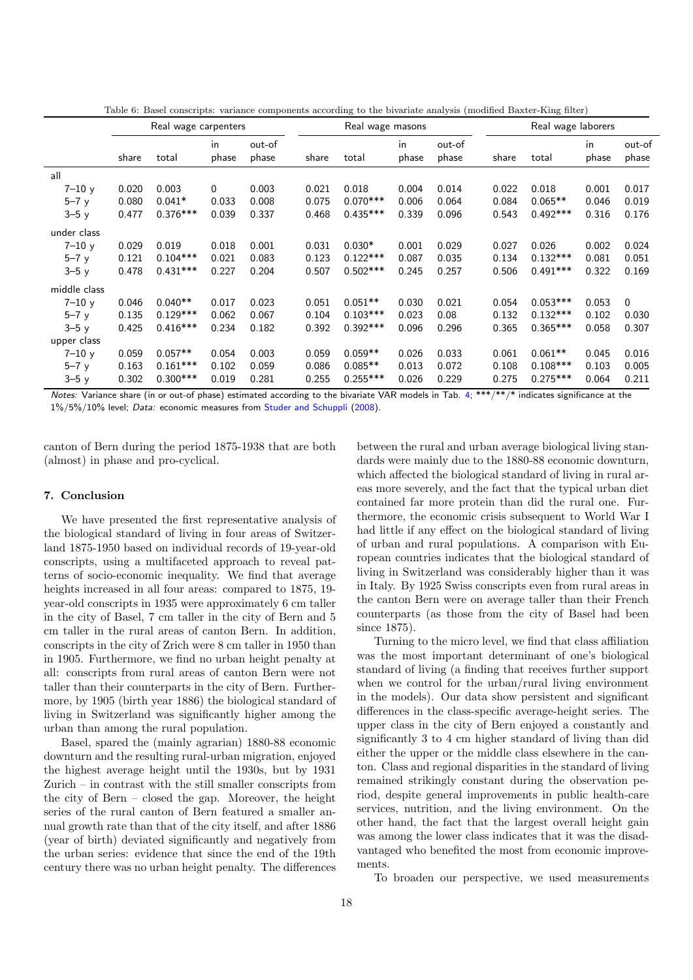|              |       | Real wage carpenters |             |                 |       | Real wage masons |             |                 |       | Real wage laborers |              |                 |
|--------------|-------|----------------------|-------------|-----------------|-------|------------------|-------------|-----------------|-------|--------------------|--------------|-----------------|
|              | share | total                | in<br>phase | out-of<br>phase | share | total            | in<br>phase | out-of<br>phase | share | total              | in.<br>phase | out-of<br>phase |
| all          |       |                      |             |                 |       |                  |             |                 |       |                    |              |                 |
| $7 - 10y$    | 0.020 | 0.003                | 0           | 0.003           | 0.021 | 0.018            | 0.004       | 0.014           | 0.022 | 0.018              | 0.001        | 0.017           |
| $5 - 7y$     | 0.080 | $0.041*$             | 0.033       | 0.008           | 0.075 | $0.070***$       | 0.006       | 0.064           | 0.084 | $0.065**$          | 0.046        | 0.019           |
| $3-5y$       | 0.477 | $0.376***$           | 0.039       | 0.337           | 0.468 | $0.435***$       | 0.339       | 0.096           | 0.543 | $0.492***$         | 0.316        | 0.176           |
| under class  |       |                      |             |                 |       |                  |             |                 |       |                    |              |                 |
| $7 - 10y$    | 0.029 | 0.019                | 0.018       | 0.001           | 0.031 | $0.030*$         | 0.001       | 0.029           | 0.027 | 0.026              | 0.002        | 0.024           |
| $5-7$ $v$    | 0.121 | $0.104***$           | 0.021       | 0.083           | 0.123 | $0.122***$       | 0.087       | 0.035           | 0.134 | $0.132***$         | 0.081        | 0.051           |
| $3-5y$       | 0.478 | $0.431***$           | 0.227       | 0.204           | 0.507 | $0.502***$       | 0.245       | 0.257           | 0.506 | $0.491***$         | 0.322        | 0.169           |
| middle class |       |                      |             |                 |       |                  |             |                 |       |                    |              |                 |
| $7 - 10$ $v$ | 0.046 | $0.040**$            | 0.017       | 0.023           | 0.051 | $0.051**$        | 0.030       | 0.021           | 0.054 | $0.053***$         | 0.053        | $\mathbf 0$     |
| $5 - 7y$     | 0.135 | $0.129***$           | 0.062       | 0.067           | 0.104 | $0.103***$       | 0.023       | 0.08            | 0.132 | $0.132***$         | 0.102        | 0.030           |
| $3-5y$       | 0.425 | $0.416***$           | 0.234       | 0.182           | 0.392 | $0.392***$       | 0.096       | 0.296           | 0.365 | $0.365***$         | 0.058        | 0.307           |
| upper class  |       |                      |             |                 |       |                  |             |                 |       |                    |              |                 |
| $7 - 10y$    | 0.059 | $0.057**$            | 0.054       | 0.003           | 0.059 | $0.059**$        | 0.026       | 0.033           | 0.061 | $0.061**$          | 0.045        | 0.016           |
| $5 - 7y$     | 0.163 | $0.161***$           | 0.102       | 0.059           | 0.086 | $0.085**$        | 0.013       | 0.072           | 0.108 | $0.108***$         | 0.103        | 0.005           |
| $3-5y$       | 0.302 | $0.300***$           | 0.019       | 0.281           | 0.255 | $0.255***$       | 0.026       | 0.229           | 0.275 | $0.275***$         | 0.064        | 0.211           |

<span id="page-17-0"></span>Table 6: Basel conscripts: variance components according to the bivariate analysis (modified Baxter-King filter)

Notes: Variance share (in or out-of phase) estimated according to the bivariate VAR models in Tab. [4;](#page-14-0) \*\*\*/\*\*/\* indicates significance at the 1%/5%/10% level; Data: economic measures from [Studer and Schuppli](#page-21-18) [\(2008\)](#page-21-18).

canton of Bern during the period 1875-1938 that are both (almost) in phase and pro-cyclical.

## 7. Conclusion

We have presented the first representative analysis of the biological standard of living in four areas of Switzerland 1875-1950 based on individual records of 19-year-old conscripts, using a multifaceted approach to reveal patterns of socio-economic inequality. We find that average heights increased in all four areas: compared to  $1875$ ,  $19$ year-old conscripts in 1935 were approximately 6 cm taller in the city of Basel, 7 cm taller in the city of Bern and 5 cm taller in the rural areas of canton Bern. In addition, conscripts in the city of Zrich were 8 cm taller in 1950 than in 1905. Furthermore, we find no urban height penalty at all: conscripts from rural areas of canton Bern were not taller than their counterparts in the city of Bern. Furthermore, by 1905 (birth year 1886) the biological standard of living in Switzerland was significantly higher among the urban than among the rural population.

Basel, spared the (mainly agrarian) 1880-88 economic downturn and the resulting rural-urban migration, enjoyed the highest average height until the 1930s, but by 1931 Zurich – in contrast with the still smaller conscripts from the city of Bern – closed the gap. Moreover, the height series of the rural canton of Bern featured a smaller annual growth rate than that of the city itself, and after 1886 (year of birth) deviated significantly and negatively from the urban series: evidence that since the end of the 19th century there was no urban height penalty. The differences

between the rural and urban average biological living standards were mainly due to the 1880-88 economic downturn, which affected the biological standard of living in rural areas more severely, and the fact that the typical urban diet contained far more protein than did the rural one. Furthermore, the economic crisis subsequent to World War I had little if any effect on the biological standard of living of urban and rural populations. A comparison with European countries indicates that the biological standard of living in Switzerland was considerably higher than it was in Italy. By 1925 Swiss conscripts even from rural areas in the canton Bern were on average taller than their French counterparts (as those from the city of Basel had been since 1875).

Turning to the micro level, we find that class affiliation was the most important determinant of one's biological standard of living (a finding that receives further support when we control for the urban/rural living environment in the models). Our data show persistent and significant differences in the class-specific average-height series. The upper class in the city of Bern enjoyed a constantly and significantly 3 to 4 cm higher standard of living than did either the upper or the middle class elsewhere in the canton. Class and regional disparities in the standard of living remained strikingly constant during the observation period, despite general improvements in public health-care services, nutrition, and the living environment. On the other hand, the fact that the largest overall height gain was among the lower class indicates that it was the disadvantaged who benefited the most from economic improvements.

To broaden our perspective, we used measurements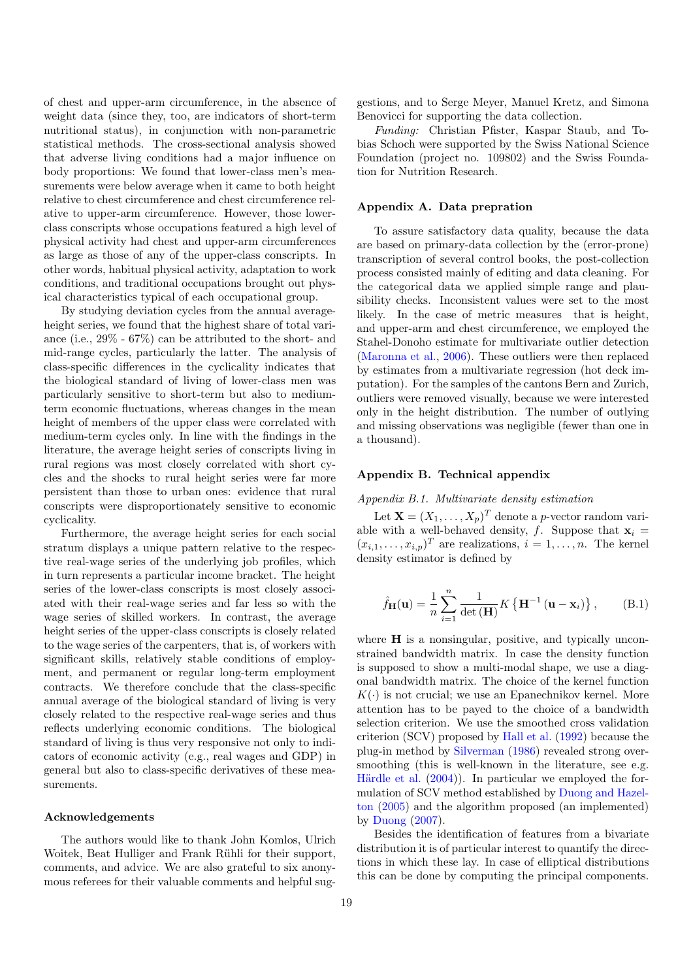of chest and upper-arm circumference, in the absence of weight data (since they, too, are indicators of short-term nutritional status), in conjunction with non-parametric statistical methods. The cross-sectional analysis showed that adverse living conditions had a major influence on body proportions: We found that lower-class men's measurements were below average when it came to both height relative to chest circumference and chest circumference relative to upper-arm circumference. However, those lowerclass conscripts whose occupations featured a high level of physical activity had chest and upper-arm circumferences as large as those of any of the upper-class conscripts. In other words, habitual physical activity, adaptation to work conditions, and traditional occupations brought out physical characteristics typical of each occupational group.

By studying deviation cycles from the annual averageheight series, we found that the highest share of total variance (i.e., 29% - 67%) can be attributed to the short- and mid-range cycles, particularly the latter. The analysis of class-specific differences in the cyclicality indicates that the biological standard of living of lower-class men was particularly sensitive to short-term but also to mediumterm economic fluctuations, whereas changes in the mean height of members of the upper class were correlated with medium-term cycles only. In line with the findings in the literature, the average height series of conscripts living in rural regions was most closely correlated with short cycles and the shocks to rural height series were far more persistent than those to urban ones: evidence that rural conscripts were disproportionately sensitive to economic cyclicality.

Furthermore, the average height series for each social stratum displays a unique pattern relative to the respective real-wage series of the underlying job profiles, which in turn represents a particular income bracket. The height series of the lower-class conscripts is most closely associated with their real-wage series and far less so with the wage series of skilled workers. In contrast, the average height series of the upper-class conscripts is closely related to the wage series of the carpenters, that is, of workers with significant skills, relatively stable conditions of employment, and permanent or regular long-term employment contracts. We therefore conclude that the class-specific annual average of the biological standard of living is very closely related to the respective real-wage series and thus reflects underlying economic conditions. The biological standard of living is thus very responsive not only to indicators of economic activity (e.g., real wages and GDP) in general but also to class-specific derivatives of these measurements.

## Acknowledgements

The authors would like to thank John Komlos, Ulrich Woitek, Beat Hulliger and Frank Rühli for their support, comments, and advice. We are also grateful to six anonymous referees for their valuable comments and helpful suggestions, and to Serge Meyer, Manuel Kretz, and Simona Benovicci for supporting the data collection.

Funding: Christian Pfister, Kaspar Staub, and Tobias Schoch were supported by the Swiss National Science Foundation (project no. 109802) and the Swiss Foundation for Nutrition Research.

# Appendix A. Data prepration

To assure satisfactory data quality, because the data are based on primary-data collection by the (error-prone) transcription of several control books, the post-collection process consisted mainly of editing and data cleaning. For the categorical data we applied simple range and plausibility checks. Inconsistent values were set to the most likely. In the case of metric measures that is height, and upper-arm and chest circumference, we employed the Stahel-Donoho estimate for multivariate outlier detection [\(Maronna et al.,](#page-20-40) [2006\)](#page-20-40). These outliers were then replaced by estimates from a multivariate regression (hot deck imputation). For the samples of the cantons Bern and Zurich, outliers were removed visually, because we were interested only in the height distribution. The number of outlying and missing observations was negligible (fewer than one in a thousand).

# Appendix B. Technical appendix

# <span id="page-18-0"></span>Appendix B.1. Multivariate density estimation

Let  $\mathbf{X} = (X_1, \ldots, X_p)^T$  denote a *p*-vector random variable with a well-behaved density, f. Suppose that  $x_i =$  $(x_{i,1},\ldots,x_{i,p})^T$  are realizations,  $i=1,\ldots,n$ . The kernel density estimator is defined by

$$
\hat{f}_{\mathbf{H}}(\mathbf{u}) = \frac{1}{n} \sum_{i=1}^{n} \frac{1}{\det(\mathbf{H})} K \left\{ \mathbf{H}^{-1} \left( \mathbf{u} - \mathbf{x}_{i} \right) \right\}, \quad (B.1)
$$

where **H** is a nonsingular, positive, and typically unconstrained bandwidth matrix. In case the density function is supposed to show a multi-modal shape, we use a diagonal bandwidth matrix. The choice of the kernel function  $K(.)$  is not crucial; we use an Epanechnikov kernel. More attention has to be payed to the choice of a bandwidth selection criterion. We use the smoothed cross validation criterion (SCV) proposed by [Hall et al.](#page-20-41) [\(1992\)](#page-20-41) because the plug-in method by [Silverman](#page-21-24) [\(1986\)](#page-21-24) revealed strong oversmoothing (this is well-known in the literature, see e.g. Härdle et al.  $(2004)$ ). In particular we employed the formulation of SCV method established by [Duong and Hazel](#page-20-42)[ton](#page-20-42) [\(2005\)](#page-20-42) and the algorithm proposed (an implemented) by [Duong](#page-20-43) [\(2007\)](#page-20-43).

Besides the identification of features from a bivariate distribution it is of particular interest to quantify the directions in which these lay. In case of elliptical distributions this can be done by computing the principal components.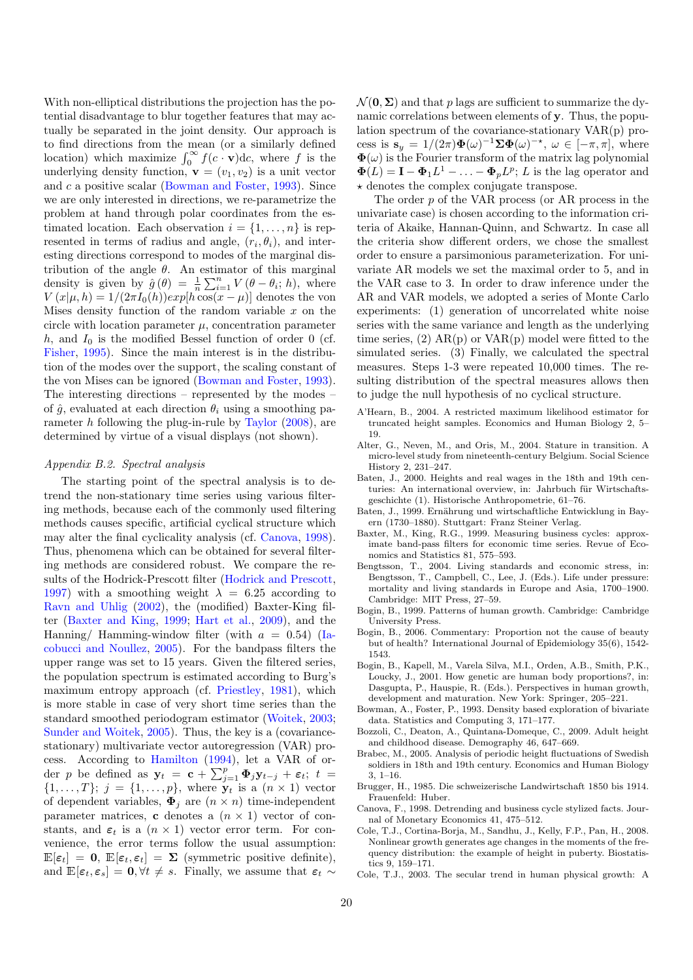With non-elliptical distributions the projection has the potential disadvantage to blur together features that may actually be separated in the joint density. Our approach is to find directions from the mean (or a similarly defined location) which maximize  $\int_0^\infty f(c \cdot \mathbf{v}) dr$ , where f is the underlying density function,  $\mathbf{v} = (v_1, v_2)$  is a unit vector and c a positive scalar [\(Bowman and Foster,](#page-19-14) [1993\)](#page-19-14). Since we are only interested in directions, we re-parametrize the problem at hand through polar coordinates from the estimated location. Each observation  $i = \{1, \ldots, n\}$  is represented in terms of radius and angle,  $(r_i, \theta_i)$ , and interesting directions correspond to modes of the marginal distribution of the angle  $\theta$ . An estimator of this marginal density is given by  $\hat{g}(\theta) = \frac{1}{n} \sum_{i=1}^{n} V(\theta - \theta_i; h)$ , where  $V(x|\mu, h) = 1/(2\pi I_0(h))exp[i\cos(x - \mu)]$  denotes the von Mises density function of the random variable  $x$  on the circle with location parameter  $\mu$ , concentration parameter h, and  $I_0$  is the modified Bessel function of order 0 (cf. [Fisher,](#page-20-44) [1995\)](#page-20-44). Since the main interest is in the distribution of the modes over the support, the scaling constant of the von Mises can be ignored [\(Bowman and Foster,](#page-19-14) [1993\)](#page-19-14). The interesting directions – represented by the modes – of  $\hat{g}$ , evaluated at each direction  $\theta_i$  using a smoothing parameter  $h$  following the plug-in-rule by [Taylor](#page-21-27)  $(2008)$ , are determined by virtue of a visual displays (not shown).

# Appendix B.2. Spectral analysis

The starting point of the spectral analysis is to detrend the non-stationary time series using various filtering methods, because each of the commonly used filtering methods causes specific, artificial cyclical structure which may alter the final cyclicality analysis (cf. [Canova,](#page-19-15) [1998\)](#page-19-15). Thus, phenomena which can be obtained for several filtering methods are considered robust. We compare the results of the Hodrick-Prescott filter [\(Hodrick and Prescott,](#page-20-37) [1997\)](#page-20-37) with a smoothing weight  $\lambda = 6.25$  according to [Ravn and Uhlig](#page-21-28) [\(2002\)](#page-21-28), the (modified) Baxter-King filter [\(Baxter and King,](#page-19-13) [1999;](#page-19-13) [Hart et al.,](#page-20-39) [2009\)](#page-20-39), and the Hanning/ Hamming-window filter (with  $a = 0.54$ ) [\(Ia](#page-20-38)[cobucci and Noullez,](#page-20-38) [2005\)](#page-20-38). For the bandpass filters the upper range was set to 15 years. Given the filtered series, the population spectrum is estimated according to Burg's maximum entropy approach (cf. [Priestley,](#page-20-45) [1981\)](#page-20-45), which is more stable in case of very short time series than the standard smoothed periodogram estimator [\(Woitek,](#page-21-3) [2003;](#page-21-3) [Sunder and Woitek,](#page-21-4) [2005\)](#page-21-4). Thus, the key is a (covariancestationary) multivariate vector autoregression (VAR) process. According to [Hamilton](#page-20-46) [\(1994\)](#page-20-46), let a VAR of order p be defined as  $y_t = c + \sum_{j=1}^p \Phi_j y_{t-j} + \varepsilon_t$ ;  $t =$  $\{1,\ldots,T\};\;j=\{1,\ldots,p\},\;{\rm where}\;{\bf y}_t\;{\rm is\; a}\;(n\times1)\;{\rm vector}$ of dependent variables,  $\Phi_j$  are  $(n \times n)$  time-independent parameter matrices, c denotes a  $(n \times 1)$  vector of constants, and  $\varepsilon_t$  is a  $(n \times 1)$  vector error term. For convenience, the error terms follow the usual assumption:  $\mathbb{E}[\varepsilon_t] = \mathbf{0}, \mathbb{E}[\varepsilon_t, \varepsilon_t] = \Sigma$  (symmetric positive definite), and  $\mathbb{E}[\varepsilon_t, \varepsilon_s] = 0, \forall t \neq s$ . Finally, we assume that  $\varepsilon_t \sim$ 

 $\mathcal{N}(\mathbf{0}, \mathbf{\Sigma})$  and that p lags are sufficient to summarize the dynamic correlations between elements of y. Thus, the population spectrum of the covariance-stationary VAR(p) process is  $\mathbf{s}_y = 1/(2\pi)\mathbf{\Phi}(\omega)^{-1}\mathbf{\Sigma}\mathbf{\Phi}(\omega)^{-*}, \ \omega \in [-\pi, \pi],$  where  $\Phi(\omega)$  is the Fourier transform of the matrix lag polynomial  $\mathbf{\Phi}(L) = \mathbf{I} - \mathbf{\Phi}_1 L^1 - \ldots - \mathbf{\Phi}_p L^p$ ; L is the lag operator and  $\star$  denotes the complex conjugate transpose.

The order p of the VAR process (or AR process in the univariate case) is chosen according to the information criteria of Akaike, Hannan-Quinn, and Schwartz. In case all the criteria show different orders, we chose the smallest order to ensure a parsimonious parameterization. For univariate AR models we set the maximal order to 5, and in the VAR case to 3. In order to draw inference under the AR and VAR models, we adopted a series of Monte Carlo experiments: (1) generation of uncorrelated white noise series with the same variance and length as the underlying time series, (2)  $AR(p)$  or  $VAR(p)$  model were fitted to the simulated series. (3) Finally, we calculated the spectral measures. Steps 1-3 were repeated 10,000 times. The resulting distribution of the spectral measures allows then to judge the null hypothesis of no cyclical structure.

- <span id="page-19-9"></span>A'Hearn, B., 2004. A restricted maximum likelihood estimator for truncated height samples. Economics and Human Biology 2, 5– 19.
- <span id="page-19-8"></span>Alter, G., Neven, M., and Oris, M., 2004. Stature in transition. A micro-level study from nineteenth-century Belgium. Social Science History 2, 231–247.
- <span id="page-19-4"></span>Baten, J., 2000. Heights and real wages in the 18th and 19th centuries: An international overview, in: Jahrbuch für Wirtschaftsgeschichte (1). Historische Anthropometrie, 61–76.
- <span id="page-19-7"></span>Baten, J., 1999. Ernährung und wirtschaftliche Entwicklung in Bayern (1730–1880). Stuttgart: Franz Steiner Verlag.
- <span id="page-19-13"></span>Baxter, M., King, R.G., 1999. Measuring business cycles: approximate band-pass filters for economic time series. Revue of Economics and Statistics 81, 575–593.
- <span id="page-19-2"></span>Bengtsson, T., 2004. Living standards and economic stress, in: Bengtsson, T., Campbell, C., Lee, J. (Eds.). Life under pressure: mortality and living standards in Europe and Asia, 1700–1900. Cambridge: MIT Press, 27–59.
- <span id="page-19-0"></span>Bogin, B., 1999. Patterns of human growth. Cambridge: Cambridge University Press.
- <span id="page-19-11"></span>Bogin, B., 2006. Commentary: Proportion not the cause of beauty but of health? International Journal of Epidemiology 35(6), 1542- 1543.
- <span id="page-19-10"></span>Bogin, B., Kapell, M., Varela Silva, M.I., Orden, A.B., Smith, P.K., Loucky, J., 2001. How genetic are human body proportions?, in: Dasgupta, P., Hauspie, R. (Eds.). Perspectives in human growth, development and maturation. New York: Springer, 205–221.
- <span id="page-19-14"></span>Bowman, A., Foster, P., 1993. Density based exploration of bivariate data. Statistics and Computing 3, 171–177.
- <span id="page-19-6"></span>Bozzoli, C., Deaton, A., Quintana-Domeque, C., 2009. Adult height and childhood disease. Demography 46, 647–669.
- <span id="page-19-1"></span>Brabec, M., 2005. Analysis of periodic height fluctuations of Swedish soldiers in 18th and 19th century. Economics and Human Biology  $3, 1-16.$
- <span id="page-19-5"></span>Brugger, H., 1985. Die schweizerische Landwirtschaft 1850 bis 1914. Frauenfeld: Huber.
- <span id="page-19-15"></span>Canova, F., 1998. Detrending and business cycle stylized facts. Journal of Monetary Economics 41, 475–512.
- <span id="page-19-12"></span>Cole, T.J., Cortina-Borja, M., Sandhu, J., Kelly, F.P., Pan, H., 2008. Nonlinear growth generates age changes in the moments of the frequency distribution: the example of height in puberty. Biostatistics 9, 159–171.
- <span id="page-19-3"></span>Cole, T.J., 2003. The secular trend in human physical growth: A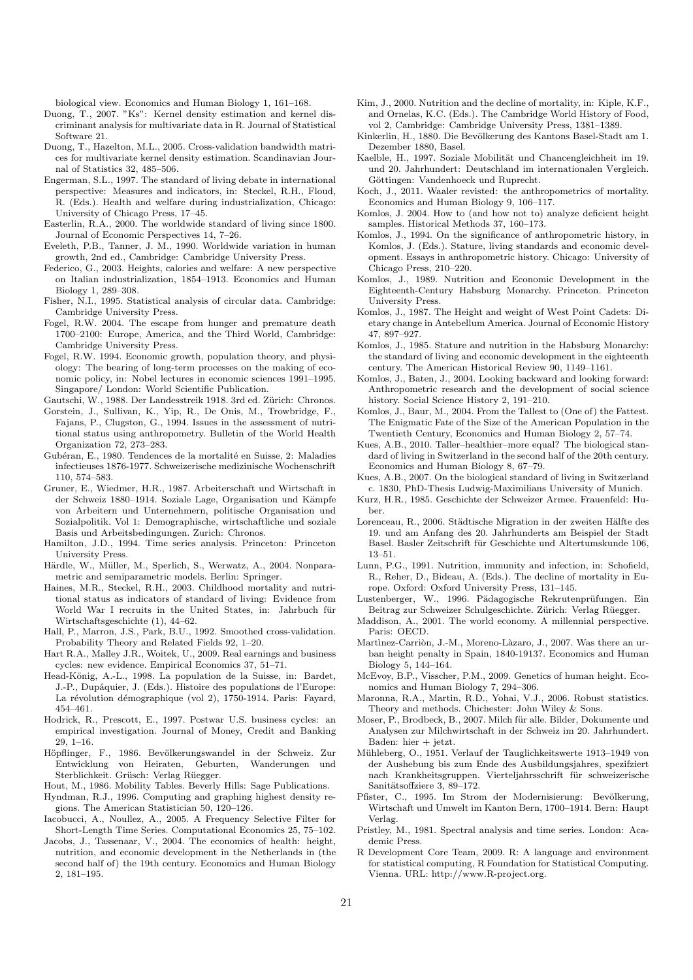biological view. Economics and Human Biology 1, 161–168.

- <span id="page-20-43"></span>Duong, T., 2007. "Ks": Kernel density estimation and kernel discriminant analysis for multivariate data in R. Journal of Statistical Software 21.
- <span id="page-20-42"></span>Duong, T., Hazelton, M.L., 2005. Cross-validation bandwidth matrices for multivariate kernel density estimation. Scandinavian Journal of Statistics 32, 485–506.
- <span id="page-20-0"></span>Engerman, S.L., 1997. The standard of living debate in international perspective: Measures and indicators, in: Steckel, R.H., Floud, R. (Eds.). Health and welfare during industrialization, Chicago: University of Chicago Press, 17–45.
- <span id="page-20-31"></span>Easterlin, R.A., 2000. The worldwide standard of living since 1800. Journal of Economic Perspectives 14, 7–26.
- <span id="page-20-3"></span>Eveleth, P.B., Tanner, J. M., 1990. Worldwide variation in human growth, 2nd ed., Cambridge: Cambridge University Press.
- <span id="page-20-30"></span>Federico, G., 2003. Heights, calories and welfare: A new perspective on Italian industrialization, 1854–1913. Economics and Human Biology 1, 289–308.
- <span id="page-20-44"></span>Fisher, N.I., 1995. Statistical analysis of circular data. Cambridge: Cambridge University Press.
- <span id="page-20-5"></span>Fogel, R.W. 2004. The escape from hunger and premature death 1700–2100: Europe, America, and the Third World, Cambridge: Cambridge University Press.
- <span id="page-20-4"></span>Fogel, R.W. 1994. Economic growth, population theory, and physiology: The bearing of long-term processes on the making of economic policy, in: Nobel lectures in economic sciences 1991–1995. Singapore/ London: World Scientific Publication.
- <span id="page-20-32"></span><span id="page-20-6"></span>Gautschi, W., 1988. Der Landesstreik 1918. 3rd ed. Zürich: Chronos. Gorstein, J., Sullivan, K., Yip, R., De Onis, M., Trowbridge, F.,
- Fajans, P., Clugston, G., 1994. Issues in the assessment of nutritional status using anthropometry. Bulletin of the World Health Organization 72, 273–283.
- <span id="page-20-26"></span>Gubéran, E., 1980. Tendences de la mortalité en Suisse, 2: Maladies infectieuses 1876-1977. Schweizerische medizinische Wochenschrift 110, 574–583.
- <span id="page-20-28"></span>Gruner, E., Wiedmer, H.R., 1987. Arbeiterschaft und Wirtschaft in der Schweiz 1880–1914. Soziale Lage, Organisation und Kämpfe von Arbeitern und Unternehmern, politische Organisation und Sozialpolitik. Vol 1: Demographische, wirtschaftliche und soziale Basis und Arbeitsbedingungen. Zurich: Chronos.
- <span id="page-20-46"></span>Hamilton, J.D., 1994. Time series analysis. Princeton: Princeton University Press.
- <span id="page-20-35"></span>Härdle, W., Müller, M., Sperlich, S., Werwatz, A., 2004. Nonparametric and semiparametric models. Berlin: Springer.
- Haines, M.R., Steckel, R.H., 2003. Childhood mortality and nutritional status as indicators of standard of living: Evidence from World War I recruits in the United States, in: Jahrbuch für Wirtschaftsgeschichte (1), 44–62.
- <span id="page-20-41"></span>Hall, P., Marron, J.S., Park, B.U., 1992. Smoothed cross-validation. Probability Theory and Related Fields 92, 1–20.
- <span id="page-20-39"></span>Hart R.A., Malley J.R., Woitek, U., 2009. Real earnings and business cycles: new evidence. Empirical Economics 37, 51–71.
- <span id="page-20-20"></span>Head-König, A.-L., 1998. La population de la Suisse, in: Bardet, J.-P., Dupâquier, J. (Eds.). Histoire des populations de l'Europe: La révolution démographique (vol 2), 1750-1914. Paris: Fayard, 454–461.
- <span id="page-20-37"></span>Hodrick, R., Prescott, E., 1997. Postwar U.S. business cycles: an empirical investigation. Journal of Money, Credit and Banking 29, 1–16.
- <span id="page-20-27"></span>Höpflinger, F., 1986. Bevölkerungswandel in der Schweiz. Zur Entwicklung von Heiraten, Geburten, Wanderungen und Sterblichkeit. Grüsch: Verlag Rüegger.
- <span id="page-20-25"></span>Hout, M., 1986. Mobility Tables. Beverly Hills: Sage Publications.
- Hyndman, R.J., 1996. Computing and graphing highest density regions. The American Statistician 50, 120–126.
- <span id="page-20-38"></span>Iacobucci, A., Noullez, A., 2005. A Frequency Selective Filter for Short-Length Time Series. Computational Economics 25, 75–102.
- <span id="page-20-36"></span>Jacobs, J., Tassenaar, V., 2004. The economics of health: height, nutrition, and economic development in the Netherlands in (the second half of) the 19th century. Economics and Human Biology 2, 181–195.
- <span id="page-20-13"></span>Kim, J., 2000. Nutrition and the decline of mortality, in: Kiple, K.F. and Ornelas, K.C. (Eds.). The Cambridge World History of Food, vol 2, Cambridge: Cambridge University Press, 1381–1389.
- <span id="page-20-17"></span>Kinkerlin, H., 1880. Die Bevölkerung des Kantons Basel-Stadt am 1. Dezember 1880, Basel.
- <span id="page-20-24"></span>Kaelble, H., 1997. Soziale Mobilität und Chancengleichheit im 19. und 20. Jahrhundert: Deutschland im internationalen Vergleich. Göttingen: Vandenhoeck und Ruprecht.
- <span id="page-20-7"></span>Koch, J., 2011. Waaler revisted: the anthropometrics of mortality. Economics and Human Biology 9, 106–117.
- Komlos, J. 2004. How to (and how not to) analyze deficient height samples. Historical Methods 37, 160–173.
- <span id="page-20-9"></span>Komlos, J., 1994. On the significance of anthropometric history, in Komlos, J. (Eds.). Stature, living standards and economic development. Essays in anthropometric history. Chicago: University of Chicago Press, 210–220.
- <span id="page-20-10"></span>Komlos, J., 1989. Nutrition and Economic Development in the Eighteenth-Century Habsburg Monarchy. Princeton. Princeton University Press.
- <span id="page-20-12"></span>Komlos, J., 1987. The Height and weight of West Point Cadets: Dietary change in Antebellum America. Journal of Economic History 47, 897–927.
- <span id="page-20-2"></span>Komlos, J., 1985. Stature and nutrition in the Habsburg Monarchy: the standard of living and economic development in the eighteenth century. The American Historical Review 90, 1149–1161.
- <span id="page-20-1"></span>Komlos, J., Baten, J., 2004. Looking backward and looking forward: Anthropometric research and the development of social science history. Social Science History 2, 191–210.
- <span id="page-20-11"></span>Komlos, J., Baur, M., 2004. From the Tallest to (One of) the Fattest. The Enigmatic Fate of the Size of the American Population in the Twentieth Century, Economics and Human Biology 2, 57–74.
- <span id="page-20-8"></span>Kues, A.B., 2010. Taller–healthier–more equal? The biological standard of living in Switzerland in the second half of the 20th century. Economics and Human Biology 8, 67–79.
- <span id="page-20-16"></span>Kues, A.B., 2007. On the biological standard of living in Switzerland c. 1830, PhD-Thesis Ludwig-Maximilians University of Munich.
- <span id="page-20-18"></span>Kurz, H.R., 1985. Geschichte der Schweizer Armee. Frauenfeld: Huber.
- <span id="page-20-29"></span>Lorenceau, R., 2006. Städtische Migration in der zweiten Hälfte des 19. und am Anfang des 20. Jahrhunderts am Beispiel der Stadt Basel. Basler Zeitschrift für Geschichte und Altertumskunde 106, 13–51.
- <span id="page-20-15"></span>Lunn, P.G., 1991. Nutrition, immunity and infection, in: Schofield, R., Reher, D., Bideau, A. (Eds.). The decline of mortality in Europe. Oxford: Oxford University Press, 131–145.
- <span id="page-20-19"></span>Lustenberger, W., 1996. Pädagogische Rekrutenprüfungen. Ein Beitrag zur Schweizer Schulgeschichte. Zürich: Verlag Rüegger.
- <span id="page-20-23"></span>Maddison, A., 2001. The world economy. A millennial perspective. Paris: OECD.
- <span id="page-20-34"></span>Martinez-Carriòn, J.-M., Moreno-Làzaro, J., 2007. Was there an urban height penalty in Spain, 1840-1913?. Economics and Human Biology 5, 144–164.
- <span id="page-20-14"></span>McEvoy, B.P., Visscher, P.M., 2009. Genetics of human height. Economics and Human Biology 7, 294–306.
- <span id="page-20-40"></span>Maronna, R.A., Martin, R.D., Yohai, V.J., 2006. Robust statistics. Theory and methods. Chichester: John Wiley & Sons.
- <span id="page-20-33"></span>Moser, P., Brodbeck, B., 2007. Milch für alle. Bilder, Dokumente und Analysen zur Milchwirtschaft in der Schweiz im 20. Jahrhundert. Baden: hier + jetzt.
- <span id="page-20-21"></span>Mühleberg, O., 1951. Verlauf der Tauglichkeitswerte 1913–1949 von der Aushebung bis zum Ende des Ausbildungsjahres, spezifziert nach Krankheitsgruppen. Vierteliahrsschrift für schweizerische Sanitätsoffziere 3, 89-172.
- <span id="page-20-22"></span>Pfister, C., 1995. Im Strom der Modernisierung: Bevölkerung, Wirtschaft und Umwelt im Kanton Bern, 1700–1914. Bern: Haupt Verlag.
- <span id="page-20-45"></span>Pristley, M., 1981. Spectral analysis and time series. London: Academic Press.
- R Development Core Team, 2009. R: A language and environment for statistical computing, R Foundation for Statistical Computing. Vienna. URL: http://www.R-project.org.